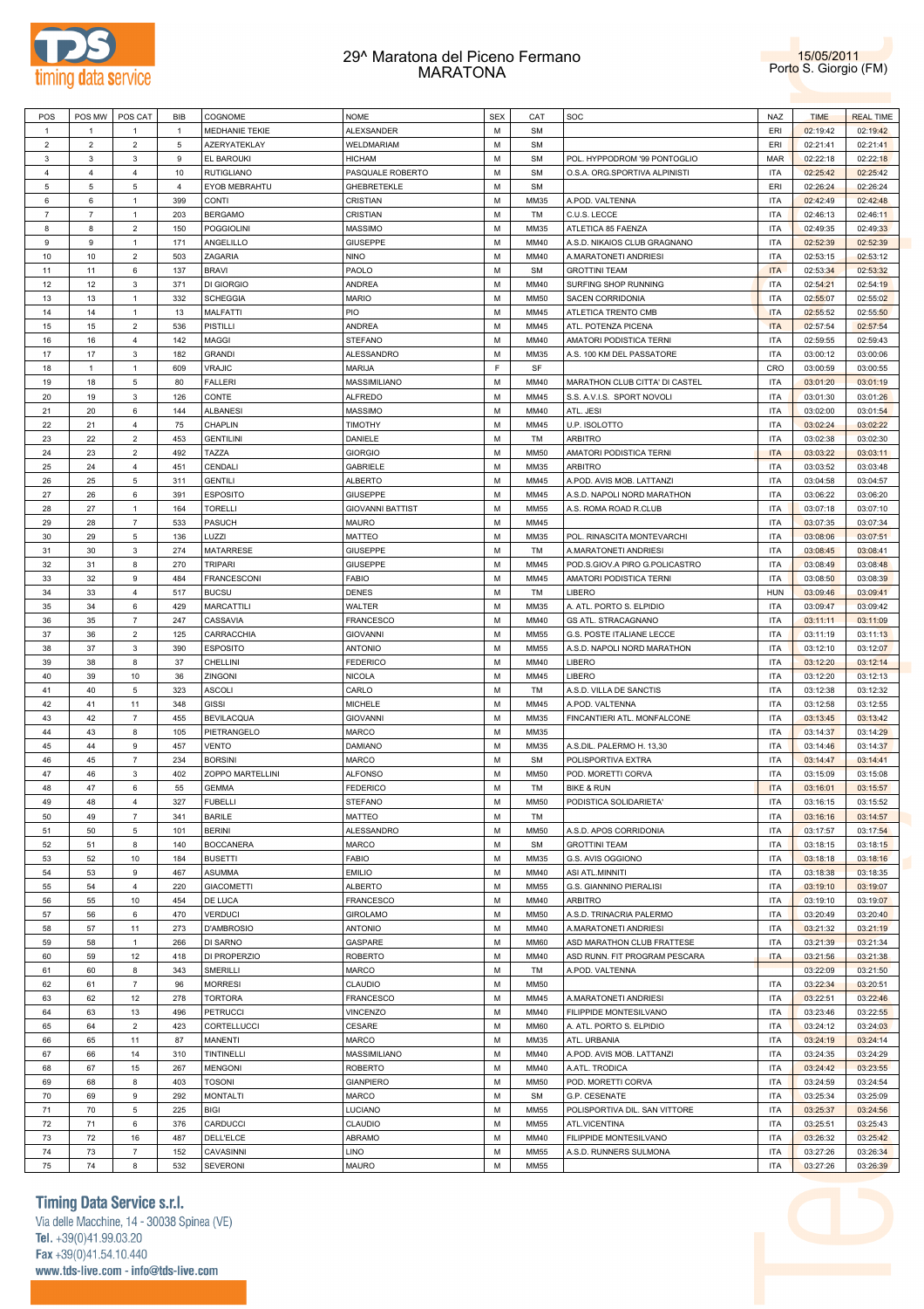



| POS            | POS MW         | POS CAT        | <b>BIB</b>     | COGNOME            | <b>NOME</b>             | <b>SEX</b> | CAT         | SOC                            | <b>NAZ</b> | <b>TIME</b> | <b>REAL TIME</b> |
|----------------|----------------|----------------|----------------|--------------------|-------------------------|------------|-------------|--------------------------------|------------|-------------|------------------|
| $\overline{1}$ | $\mathbf{1}$   | $\mathbf{1}$   | $\mathbf{1}$   | MEDHANIE TEKIE     | ALEXSANDER              | M          | <b>SM</b>   |                                | ERI        | 02:19:42    | 02:19:42         |
| $\overline{2}$ | $\overline{2}$ | $\overline{2}$ | 5              | AZERYATEKLAY       | WELDMARIAM              | M          | <b>SM</b>   |                                | ERI        | 02:21:41    | 02:21:41         |
| 3              | 3              | 3              | 9              | <b>EL BAROUKI</b>  | <b>HICHAM</b>           | M          | <b>SM</b>   | POL. HYPPODROM '99 PONTOGLIO   | <b>MAR</b> | 02:22:18    | 02:22:18         |
| 4              | $\overline{4}$ | $\overline{4}$ | 10             | <b>RUTIGLIANO</b>  | PASQUALE ROBERTO        | M          | <b>SM</b>   | O.S.A. ORG.SPORTIVA ALPINISTI  | <b>ITA</b> | 02:25:42    | 02:25:42         |
| 5              | 5              | 5              | $\overline{4}$ | EYOB MEBRAHTU      | GHEBRETEKLE             | M          | <b>SM</b>   |                                | ERI        | 02:26:24    | 02:26:24         |
| 6              | 6              | $\mathbf{1}$   | 399            | <b>CONTI</b>       | CRISTIAN                | M          | MM35        | A.POD. VALTENNA                | <b>ITA</b> | 02:42:49    | 02:42:48         |
| $\overline{7}$ | $\overline{7}$ | $\mathbf{1}$   | 203            | <b>BERGAMO</b>     | CRISTIAN                | M          | TM          | C.U.S. LECCE                   | <b>ITA</b> | 02:46:13    | 02:46:11         |
| 8              | 8              | $\overline{2}$ | 150            | <b>POGGIOLINI</b>  | <b>MASSIMO</b>          | M          | MM35        | ATLETICA 85 FAENZA             | ITA        | 02:49:35    | 02:49:33         |
| 9              | 9              | $\mathbf{1}$   | 171            | ANGELILLO          | GIUSEPPE                | M          | MM40        | A.S.D. NIKAIOS CLUB GRAGNANO   | <b>ITA</b> | 02:52:39    | 02:52:39         |
| 10             | 10             | $\overline{2}$ | 503            | ZAGARIA            | <b>NINO</b>             | M          | MM40        | A.MARATONETI ANDRIESI          | <b>ITA</b> | 02:53:15    | 02:53:12         |
| 11             | 11             | 6              | 137            | <b>BRAVI</b>       | PAOLO                   | M          | <b>SM</b>   | <b>GROTTINI TEAM</b>           | <b>ITA</b> | 02:53:34    | 02:53:32         |
| 12             | 12             | 3              | 371            | DI GIORGIO         | <b>ANDREA</b>           | M          | MM40        | SURFING SHOP RUNNING           | ITA        | 02:54:21    | 02:54:19         |
| 13             | 13             | $\mathbf{1}$   | 332            | <b>SCHEGGIA</b>    | <b>MARIO</b>            | M          | <b>MM50</b> | SACEN CORRIDONIA               | <b>ITA</b> | 02:55:07    | 02:55:02         |
| 14             | 14             | $\mathbf{1}$   | 13             |                    | PIO                     | M          | MM45        |                                | <b>ITA</b> |             |                  |
|                |                | $\overline{2}$ |                | MALFATTI           |                         | M          |             | ATLETICA TRENTO CMB            |            | 02:55:52    | 02:55:50         |
| 15             | 15             |                | 536            | PISTILLI           | <b>ANDREA</b>           |            | MM45        | ATL. POTENZA PICENA            | <b>ITA</b> | 02:57:54    | 02:57:54         |
| 16             | 16             | $\overline{4}$ | 142            | <b>MAGGI</b>       | <b>STEFANO</b>          | M          | MM40        | AMATORI PODISTICA TERNI        | <b>ITA</b> | 02:59:55    | 02:59:43         |
| 17             | 17             | 3              | 182            | <b>GRANDI</b>      | ALESSANDRO              | M          | MM35        | A.S. 100 KM DEL PASSATORE      | <b>ITA</b> | 03:00:12    | 03:00:06         |
| 18             | $\mathbf{1}$   | $\mathbf{1}$   | 609            | VRAJIC             | <b>MARIJA</b>           | E          | SF          |                                | CRO        | 03:00:59    | 03:00:55         |
| 19             | 18             | 5              | 80             | <b>FALLERI</b>     | MASSIMILIANO            | M          | MM40        | MARATHON CLUB CITTA' DI CASTEL | <b>ITA</b> | 03:01:20    | 03:01:19         |
| 20             | 19             | 3              | 126            | CONTE              | <b>ALFREDO</b>          | M          | MM45        | S.S. A.V.I.S. SPORT NOVOLI     | <b>ITA</b> | 03:01:30    | 03:01:26         |
| 21             | 20             | 6              | 144            | <b>ALBANESI</b>    | <b>MASSIMO</b>          | M          | MM40        | ATL. JESI                      | <b>ITA</b> | 03:02:00    | 03:01:54         |
| 22             | 21             | $\overline{4}$ | 75             | CHAPLIN            | TIMOTHY                 | M          | MM45        | U.P. ISOLOTTO                  | <b>ITA</b> | 03:02:24    | 03:02:22         |
| 23             | 22             | $\overline{2}$ | 453            | <b>GENTILINI</b>   | DANIELE                 | M          | TM          | <b>ARBITRO</b>                 | <b>ITA</b> | 03:02:38    | 03:02:30         |
| 24             | 23             | $\overline{2}$ | 492            | TAZZA              | <b>GIORGIO</b>          | M          | <b>MM50</b> | AMATORI PODISTICA TERNI        | <b>ITA</b> | 03:03:22    | 03:03:11         |
| 25             | 24             | $\overline{4}$ | 451            | CENDALI            | <b>GABRIELE</b>         | M          | MM35        | <b>ARBITRO</b>                 | <b>ITA</b> | 03:03:52    | 03:03:48         |
| 26             | 25             | 5              | 311            | <b>GENTILI</b>     | <b>ALBERTO</b>          | M          | MM45        | A.POD. AVIS MOB. LATTANZI      | <b>ITA</b> | 03:04:58    | 03:04:57         |
| 27             | 26             | 6              | 391            | <b>ESPOSITO</b>    | GIUSEPPE                | M          | MM45        | A.S.D. NAPOLI NORD MARATHON    | <b>ITA</b> | 03:06:22    | 03:06:20         |
| 28             | 27             | $\mathbf{1}$   | 164            | <b>TORELLI</b>     | <b>GIOVANNI BATTIST</b> | M          | MM55        | A.S. ROMA ROAD R.CLUB          | <b>ITA</b> | 03:07:18    | 03:07:10         |
| 29             | 28             | $\overline{7}$ | 533            | <b>PASUCH</b>      | <b>MAURO</b>            | M          | MM45        |                                | <b>ITA</b> | 03:07:35    | 03:07:34         |
| 30             | 29             | 5              | 136            | LUZZI              | <b>MATTEO</b>           | M          | MM35        | POL. RINASCITA MONTEVARCHI     | <b>ITA</b> | 03:08:06    | 03:07:51         |
| 31             | 30             | 3              | 274            | <b>MATARRESE</b>   | GIUSEPPE                | M          | TM          | A.MARATONETI ANDRIESI          | <b>ITA</b> | 03:08:45    | 03:08:41         |
| 32             | 31             | 8              | 270            | <b>TRIPARI</b>     | GIUSEPPE                | M          | MM45        | POD.S.GIOV.A PIRO G.POLICASTRO | <b>ITA</b> | 03:08:49    | 03:08:48         |
| 33             | 32             | 9              | 484            | <b>FRANCESCONI</b> | <b>FABIO</b>            | M          | MM45        | AMATORI PODISTICA TERNI        | <b>ITA</b> | 03:08:50    | 03:08:39         |
| 34             | 33             | $\overline{4}$ | 517            | <b>BUCSU</b>       | <b>DENES</b>            | M          | TM          | LIBERO                         | <b>HUN</b> | 03:09:46    | 03:09:41         |
| 35             | 34             | 6              | 429            | <b>MARCATTILI</b>  | WALTER                  | M          | MM35        | A. ATL. PORTO S. ELPIDIO       | <b>ITA</b> | 03:09:47    | 03:09:42         |
| 36             | 35             | $\overline{7}$ | 247            | CASSAVIA           | <b>FRANCESCO</b>        | M          | MM40        | <b>GS ATL. STRACAGNANO</b>     | <b>ITA</b> | 03:11:11    | 03:11:09         |
| 37             | 36             | $\overline{2}$ | 125            | CARRACCHIA         | <b>GIOVANNI</b>         | M          | <b>MM55</b> | G.S. POSTE ITALIANE LECCE      | <b>ITA</b> | 03:11:19    | 03:11:13         |
| 38             | 37             | 3              |                |                    |                         | M          |             |                                |            |             | 03:12:07         |
|                |                |                |                |                    |                         |            |             |                                |            |             |                  |
|                |                |                | 390            | <b>ESPOSITO</b>    | <b>ANTONIO</b>          |            | <b>MM55</b> | A.S.D. NAPOLI NORD MARATHON    | <b>ITA</b> | 03:12:10    |                  |
| 39             | 38             | 8              | 37             | CHELLINI           | <b>FEDERICO</b>         | M          | MM40        | LIBERO                         | <b>ITA</b> | 03:12:20    | 03:12:14         |
| 40             | 39             | 10             | 36             | ZINGONI            | <b>NICOLA</b>           | M          | MM45        | LIBERO                         | <b>ITA</b> | 03:12:20    | 03:12:13         |
| 41             | 40             | 5              | 323            | <b>ASCOLI</b>      | CARLO                   | M          | TM          | A.S.D. VILLA DE SANCTIS        | <b>ITA</b> | 03:12:38    | 03:12:32         |
| 42             | 41             | 11             | 348            | <b>GISSI</b>       | <b>MICHELE</b>          | M          | MM45        | A.POD. VALTENNA                | <b>ITA</b> | 03:12:58    | 03:12:55         |
| 43             | 42             | $\overline{7}$ | 455            | <b>BEVILACQUA</b>  | <b>GIOVANNI</b>         | M          | MM35        | FINCANTIERI ATL. MONFALCONE    | <b>ITA</b> | 03:13:45    | 03:13:42         |
| 44             | 43             | 8              | 105            | PIETRANGELO        | <b>MARCO</b>            | M          | MM35        |                                | <b>ITA</b> | 03:14:37    | 03:14:29         |
| 45             | 44             | 9              | 457            | <b>VENTO</b>       | <b>DAMIANO</b>          | M          | MM35        | A.S.DIL. PALERMO H. 13,30      | <b>ITA</b> | 03:14:46    | 03:14:37         |
| 46             | 45             | $\overline{7}$ | 234            | <b>BORSINI</b>     | MARCO                   | M          | <b>SM</b>   | POLISPORTIVA EXTRA             | <b>ITA</b> | 03:14:47    | 03:14:41         |
| 47             | 46             | 3              | 402            | ZOPPO MARTELLINI   | <b>ALFONSO</b>          | M          | <b>MM50</b> | POD. MORETTI CORVA             | <b>ITA</b> | 03:15:09    | 03:15:08         |
| 48             | 47             | 6              | 55             | <b>GEMMA</b>       | <b>FEDERICO</b>         | M          | TM          | <b>BIKE &amp; RUN</b>          | <b>ITA</b> | 03:16:01    | 03:15:57         |
| 49             | 48             | $\overline{4}$ | 327            | <b>FUBELLI</b>     | <b>STEFANO</b>          | M          | <b>MM50</b> | PODISTICA SOLIDARIETA'         | <b>ITA</b> | 03:16:15    | 03:15:52         |
| 50             | 49             | $\overline{7}$ | 341            | <b>BARILE</b>      | MATTEO                  | M          | TM          |                                | <b>ITA</b> | 03:16:16    | 03:14:57         |
| 51             | 50             | 5              | 101            | <b>BERINI</b>      | ALESSANDRO              | M          | MM50        | A.S.D. APOS CORRIDONIA         | <b>ITA</b> | 03:17:57    | 03:17:54         |
| 52             | 51             | 8              | 140            | <b>BOCCANERA</b>   | <b>MARCO</b>            | M          | <b>SM</b>   | <b>GROTTINI TEAM</b>           | <b>ITA</b> | 03:18:15    | 03:18:15         |
| 53             | 52             | 10             | 184            | <b>BUSETTI</b>     | <b>FABIO</b>            | M          | MM35        | G.S. AVIS OGGIONO              | <b>ITA</b> | 03:18:18    | 03:18:16         |
| 54             | 53             | 9              | 467            | <b>ASUMMA</b>      | <b>EMILIO</b>           | M          | MM40        | ASI ATL.MINNITI                | <b>ITA</b> | 03:18:38    | 03:18:35         |
| 55             | 54             | 4              | 220            | <b>GIACOMETTI</b>  | <b>ALBERTO</b>          | M          | MM55        | G.S. GIANNINO PIERALISI        | <b>ITA</b> | 03:19:10    | 03:19:07         |
| 56             | 55             | 10             | 454            | DE LUCA            | <b>FRANCESCO</b>        | M          | MM40        | <b>ARBITRO</b>                 | <b>ITA</b> | 03:19:10    | 03:19:07         |
| 57             | 56             | 6              | 470            | <b>VERDUCI</b>     | <b>GIROLAMO</b>         | M          | MM50        | A.S.D. TRINACRIA PALERMO       | <b>ITA</b> | 03:20:49    | 03:20:40         |
| 58             | 57             | 11             | 273            | D'AMBROSIO         | <b>ANTONIO</b>          | M          | MM40        | A.MARATONETI ANDRIESI          | <b>ITA</b> | 03:21:32    | 03:21:19         |
| 59             | 58             | $\mathbf{1}$   | 266            | DI SARNO           | GASPARE                 | M          | MM60        | ASD MARATHON CLUB FRATTESE     | <b>ITA</b> | 03:21:39    | 03:21:34         |
| 60             | 59             | 12             | 418            | DI PROPERZIO       | <b>ROBERTO</b>          | M          | MM40        | ASD RUNN. FIT PROGRAM PESCARA  | <b>ITA</b> | 03:21:56    | 03:21:38         |
| 61             | 60             | 8              | 343            | SMERILLI           | MARCO                   | M          | TM          | A.POD. VALTENNA                |            | 03:22:09    | 03:21:50         |
|                |                | $\overline{7}$ |                |                    |                         | M          | MM50        |                                | <b>ITA</b> |             |                  |
| 62             | 61             |                | 96             | <b>MORRESI</b>     | CLAUDIO                 | M          |             |                                |            | 03:22:34    | 03:20:51         |
| 63             | 62             | 12             | 278            | <b>TORTORA</b>     | <b>FRANCESCO</b>        |            | MM45        | A.MARATONETI ANDRIESI          | <b>ITA</b> | 03:22:51    | 03:22:46         |
| 64             | 63             | 13             | 496            | <b>PETRUCCI</b>    | <b>VINCENZO</b>         | M          | MM40        | FILIPPIDE MONTESILVANO         | <b>ITA</b> | 03:23:46    | 03:22:55         |
| 65             | 64             | $\overline{2}$ | 423            | CORTELLUCCI        | CESARE                  | M          | MM60        | A. ATL. PORTO S. ELPIDIO       | <b>ITA</b> | 03:24:12    | 03:24:03         |
| 66             | 65             | 11             | 87             | <b>MANENTI</b>     | MARCO                   | M          | MM35        | ATL. URBANIA                   | <b>ITA</b> | 03:24:19    | 03:24:14         |
| 67             | 66             | 14             | 310            | TINTINELLI         | MASSIMILIANO            | M          | MM40        | A.POD. AVIS MOB. LATTANZI      | <b>ITA</b> | 03:24:35    | 03:24:29         |
| 68             | 67             | 15             | 267            | <b>MENGONI</b>     | <b>ROBERTO</b>          | M          | MM40        | A.ATL. TRODICA                 | <b>ITA</b> | 03:24:42    | 03:23:55         |
| 69             | 68             | 8              | 403            | <b>TOSONI</b>      | <b>GIANPIERO</b>        | M          | MM50        | POD. MORETTI CORVA             | <b>ITA</b> | 03:24:59    | 03:24:54         |
| 70             | 69             | 9              | 292            | <b>MONTALTI</b>    | MARCO                   | M          | <b>SM</b>   | G.P. CESENATE                  | <b>ITA</b> | 03:25:34    | 03:25:09         |
| 71             | 70             | 5              | 225            | <b>BIGI</b>        | LUCIANO                 | M          | MM55        | POLISPORTIVA DIL. SAN VITTORE  | <b>ITA</b> | 03:25:37    | 03:24:56         |
| 72             | 71             | 6              | 376            | CARDUCCI           | CLAUDIO                 | M          | MM55        | ATL.VICENTINA                  | <b>ITA</b> | 03:25:51    | 03:25:43         |
| 73             | 72             | 16             | 487            | DELL'ELCE          | ABRAMO                  | M          | MM40        | FILIPPIDE MONTESILVANO         | <b>ITA</b> | 03:26:32    | 03:25:42         |
| 74<br>75       | 73<br>74       | $\overline{7}$ | 152            | CAVASINNI          | LINO                    | М<br>М     | MM55        | A.S.D. RUNNERS SULMONA         | <b>ITA</b> | 03:27:26    | 03:26:34         |

**Timing Data Service s.r.l.** 

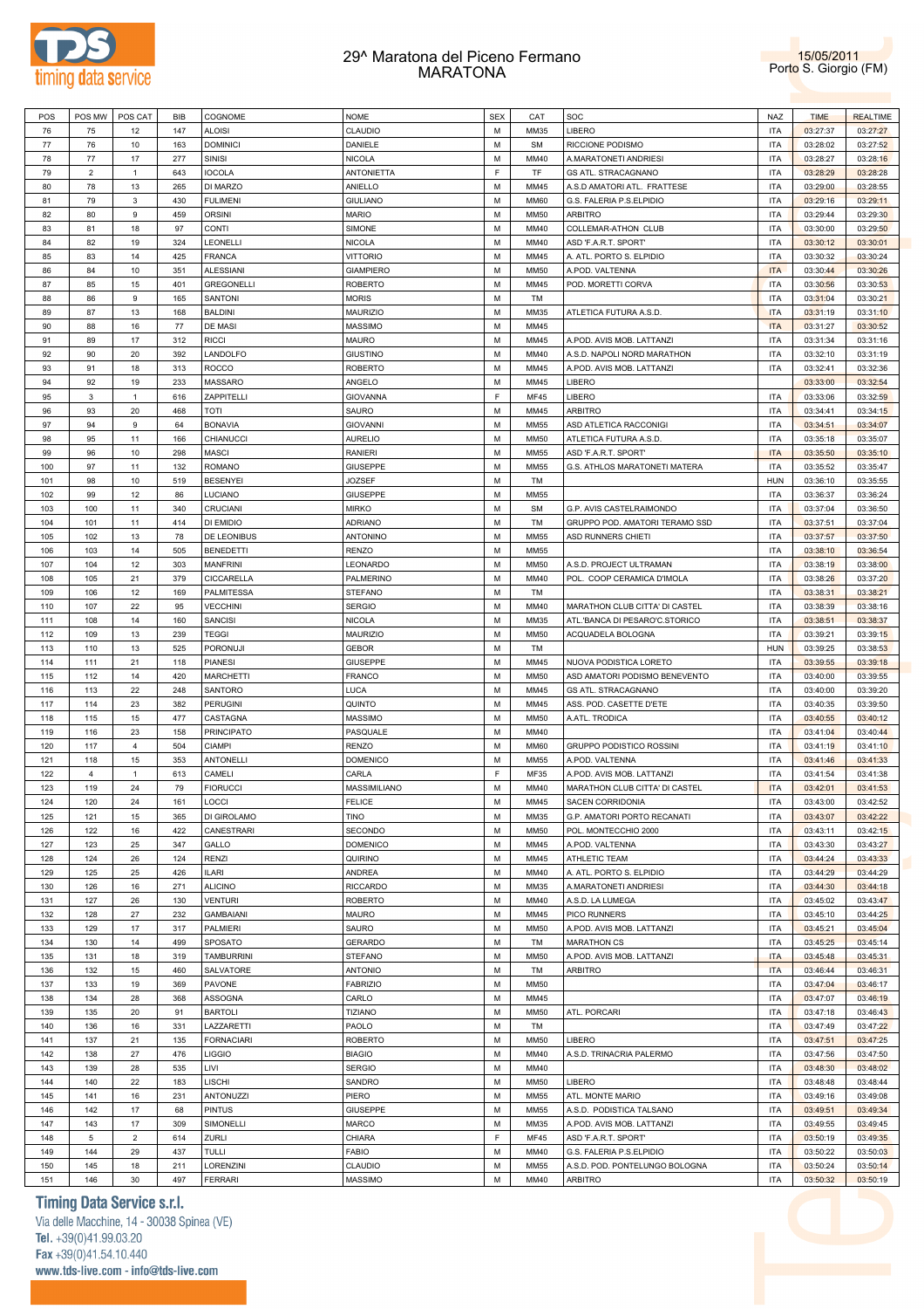



| POS | POS MW         | POS CAT        | <b>BIB</b> | COGNOME           | <b>NOME</b>       | <b>SEX</b> | CAT         | SOC                            | NAZ        | <b>TIME</b> | <b>REALTIME</b> |
|-----|----------------|----------------|------------|-------------------|-------------------|------------|-------------|--------------------------------|------------|-------------|-----------------|
| 76  | 75             | 12             | 147        | <b>ALOISI</b>     | CLAUDIO           | M          | MM35        | LIBERO                         | <b>ITA</b> | 03:27:37    | 03:27:27        |
| 77  | 76             | 10             | 163        | <b>DOMINICI</b>   | DANIELE           | M          | <b>SM</b>   | RICCIONE PODISMO               | <b>ITA</b> | 03:28:02    | 03:27:52        |
|     |                |                |            |                   |                   |            |             |                                |            |             |                 |
| 78  | 77             | 17             | 277        | <b>SINISI</b>     | <b>NICOLA</b>     | M          | MM40        | A.MARATONETI ANDRIESI          | <b>ITA</b> | 03:28:27    | 03:28:16        |
| 79  | $\overline{2}$ | $\mathbf{1}$   | 643        | <b>IOCOLA</b>     | <b>ANTONIETTA</b> | E          | TF          | <b>GS ATL. STRACAGNANO</b>     | <b>ITA</b> | 03:28:29    | 03:28:28        |
| 80  | 78             | 13             | 265        | DI MARZO          | ANIELLO           | M          | MM45        | A.S.D AMATORI ATL. FRATTESE    | <b>ITA</b> | 03:29:00    | 03:28:55        |
| 81  | 79             | 3              | 430        | <b>FULIMENI</b>   | <b>GIULIANO</b>   | M          | <b>MM60</b> | G.S. FALERIA P.S.ELPIDIO       | <b>ITA</b> | 03:29:16    | 03:29:11        |
| 82  | 80             | 9              | 459        | <b>ORSINI</b>     | <b>MARIO</b>      | M          | <b>MM50</b> | <b>ARBITRO</b>                 | <b>ITA</b> |             |                 |
|     |                |                |            |                   |                   |            |             |                                |            | 03:29:44    | 03:29:30        |
| 83  | 81             | 18             | 97         | <b>CONTI</b>      | SIMONE            | M          | MM40        | COLLEMAR-ATHON CLUB            | <b>ITA</b> | 03:30:00    | 03:29:50        |
| 84  | 82             | 19             | 324        | LEONELLI          | <b>NICOLA</b>     | M          | MM40        | ASD 'F.A.R.T. SPORT'           | <b>ITA</b> | 03:30:12    | 03:30:01        |
| 85  | 83             | 14             | 425        | <b>FRANCA</b>     | <b>VITTORIO</b>   | M          | MM45        | A. ATL. PORTO S. ELPIDIO       | <b>ITA</b> | 03:30:32    | 03:30:24        |
| 86  | 84             | 10             | 351        | <b>ALESSIANI</b>  | <b>GIAMPIERO</b>  | M          | <b>MM50</b> | A.POD. VALTENNA                | <b>ITA</b> | 03:30:44    | 03:30:26        |
|     |                |                |            |                   |                   |            |             |                                |            |             |                 |
| 87  | 85             | 15             | 401        | <b>GREGONELLI</b> | <b>ROBERTO</b>    | M          | MM45        | POD. MORETTI CORVA             | ITA        | 03:30:56    | 03:30:53        |
| 88  | 86             | 9              | 165        | SANTONI           | <b>MORIS</b>      | M          | TM          |                                | <b>ITA</b> | 03:31:04    | 03:30:21        |
| 89  | 87             | 13             | 168        | <b>BALDINI</b>    | <b>MAURIZIO</b>   | M          | MM35        | ATLETICA FUTURA A.S.D.         | <b>ITA</b> | 03:31:19    | 03:31:10        |
| 90  | 88             | 16             | 77         | DE MASI           | <b>MASSIMO</b>    | M          | MM45        |                                | <b>ITA</b> | 03:31:27    | 03:30:52        |
| 91  | 89             | 17             | 312        | <b>RICCI</b>      | <b>MAURO</b>      | M          | MM45        | A.POD. AVIS MOB. LATTANZI      | <b>ITA</b> | 03:31:34    | 03:31:16        |
|     |                |                |            |                   |                   |            |             |                                |            |             |                 |
| 92  | 90             | 20             | 392        | LANDOLFO          | <b>GIUSTINO</b>   | M          | MM40        | A.S.D. NAPOLI NORD MARATHON    | <b>ITA</b> | 03:32:10    | 03:31:19        |
| 93  | 91             | 18             | 313        | <b>ROCCO</b>      | <b>ROBERTO</b>    | M          | MM45        | A.POD. AVIS MOB. LATTANZI      | <b>ITA</b> | 03:32:41    | 03:32:36        |
| 94  | 92             | 19             | 233        | MASSARO           | ANGELO            | M          | MM45        | LIBERO                         |            | 03:33:00    | 03:32:54        |
| 95  | 3              | $\mathbf{1}$   | 616        | ZAPPITELLI        | <b>GIOVANNA</b>   | E          | <b>MF45</b> | LIBERO                         | <b>ITA</b> | 03:33:06    | 03:32:59        |
| 96  | 93             | 20             | 468        | <b>TOTI</b>       |                   | M          | MM45        | <b>ARBITRO</b>                 | <b>ITA</b> |             |                 |
|     |                |                |            |                   | SAURO             |            |             |                                |            | 03:34:41    | 03:34:15        |
| 97  | 94             | 9              | 64         | <b>BONAVIA</b>    | <b>GIOVANNI</b>   | M          | MM55        | ASD ATLETICA RACCONIGI         | <b>ITA</b> | 03:34:51    | 03:34:07        |
| 98  | 95             | 11             | 166        | CHIANUCCI         | <b>AURELIO</b>    | M          | <b>MM50</b> | ATLETICA FUTURA A.S.D.         | <b>ITA</b> | 03:35:18    | 03:35:07        |
| 99  | 96             | 10             | 298        | <b>MASCI</b>      | <b>RANIERI</b>    | M          | MM55        | ASD 'F.A.R.T. SPORT'           | <b>ITA</b> | 03:35:50    | 03:35:10        |
| 100 | 97             | 11             | 132        | <b>ROMANO</b>     | GIUSEPPE          | M          | MM55        | G.S. ATHLOS MARATONETI MATERA  | <b>ITA</b> | 03:35:52    | 03:35:47        |
|     |                |                |            |                   |                   |            |             |                                |            |             |                 |
| 101 | 98             | 10             | 519        | <b>BESENYEI</b>   | JOZSEF            | M          | TM          |                                | <b>HUN</b> | 03:36:10    | 03:35:55        |
| 102 | 99             | 12             | 86         | LUCIANO           | <b>GIUSEPPE</b>   | М          | MM55        |                                | <b>ITA</b> | 03:36:37    | 03:36:24        |
| 103 | 100            | 11             | 340        | CRUCIANI          | <b>MIRKO</b>      | M          | <b>SM</b>   | G.P. AVIS CASTELRAIMONDO       | <b>ITA</b> | 03:37:04    | 03:36:50        |
| 104 | 101            | 11             | 414        | DI EMIDIO         | <b>ADRIANO</b>    | M          | TM          | GRUPPO POD. AMATORI TERAMO SSD | <b>ITA</b> | 03:37:51    | 03:37:04        |
| 105 | 102            | 13             | 78         | DE LEONIBUS       | ANTONINO          | M          | MM55        | ASD RUNNERS CHIETI             | <b>ITA</b> | 03:37:57    | 03:37:50        |
|     |                |                |            |                   |                   |            |             |                                |            |             |                 |
| 106 | 103            | 14             | 505        | <b>BENEDETTI</b>  | <b>RENZO</b>      | M          | MM55        |                                | <b>ITA</b> | 03:38:10    | 03:36:54        |
| 107 | 104            | 12             | 303        | <b>MANFRINI</b>   | LEONARDO          | M          | <b>MM50</b> | A.S.D. PROJECT ULTRAMAN        | <b>ITA</b> | 03:38:19    | 03:38:00        |
| 108 | 105            | 21             | 379        | CICCARELLA        | PALMERINO         | M          | MM40        | POL. COOP CERAMICA D'IMOLA     | <b>ITA</b> | 03:38:26    | 03:37:20        |
| 109 | 106            | 12             | 169        | PALMITESSA        | <b>STEFANO</b>    | M          | TM          |                                | <b>ITA</b> | 03:38:31    | 03:38:21        |
| 110 | 107            | 22             | 95         | <b>VECCHINI</b>   | <b>SERGIO</b>     | M          | MM40        | MARATHON CLUB CITTA' DI CASTEL | <b>ITA</b> | 03:38:39    | 03:38:16        |
|     |                |                |            |                   |                   |            |             |                                |            |             |                 |
| 111 | 108            | 14             | 160        | SANCISI           | <b>NICOLA</b>     | M          | MM35        | ATL.'BANCA DI PESARO'C.STORICO | <b>ITA</b> | 03:38:51    | 03:38:37        |
| 112 | 109            | 13             | 239        | <b>TEGGI</b>      | <b>MAURIZIO</b>   | M          | <b>MM50</b> | ACQUADELA BOLOGNA              | <b>ITA</b> | 03:39:21    | 03:39:15        |
| 113 | 110            | 13             | 525        | PORONUJI          | <b>GEBOR</b>      | M          | TM          |                                | <b>HUN</b> | 03:39:25    | 03:38:53        |
| 114 | 111            | 21             | 118        | <b>PIANESI</b>    | GIUSEPPE          | M          | MM45        | NUOVA PODISTICA LORETO         | <b>ITA</b> | 03:39:55    | 03:39:18        |
| 115 | 112            | 14             | 420        | <b>MARCHETTI</b>  | <b>FRANCO</b>     | M          | <b>MM50</b> | ASD AMATORI PODISMO BENEVENTO  | <b>ITA</b> | 03:40:00    | 03:39:55        |
|     |                |                |            |                   |                   |            |             |                                |            |             |                 |
| 116 | 113            | 22             | 248        | SANTORO           | <b>LUCA</b>       | M          | MM45        | <b>GS ATL. STRACAGNANO</b>     | <b>ITA</b> | 03:40:00    | 03:39:20        |
| 117 | 114            | 23             | 382        | <b>PERUGINI</b>   | QUINTO            | M          | MM45        | ASS. POD. CASETTE D'ETE        | <b>ITA</b> | 03:40:35    | 03:39:50        |
| 118 | 115            | 15             | 477        | CASTAGNA          | <b>MASSIMO</b>    | M          | <b>MM50</b> | A.ATL. TRODICA                 | <b>ITA</b> | 03:40:55    | 03:40:12        |
| 119 | 116            | 23             | 158        | <b>PRINCIPATO</b> | PASQUALE          | M          | MM40        |                                | <b>ITA</b> | 03:41:04    | 03:40:44        |
| 120 | 117            | $\overline{4}$ | 504        | <b>CIAMPI</b>     | <b>RENZO</b>      | M          | <b>MM60</b> | GRUPPO PODISTICO ROSSINI       | <b>ITA</b> | 03:41:19    | 03:41:10        |
|     |                |                |            |                   |                   |            |             |                                |            |             |                 |
| 121 | 118            | 15             | 353        | <b>ANTONELLI</b>  | <b>DOMENICO</b>   | M          | <b>MM55</b> | A.POD. VALTENNA                | <b>ITA</b> | 03:41:46    | 03:41:33        |
| 122 | 4              | $\mathbf{1}$   | 613        | CAMELI            | CARLA             | F          | MF35        | A.POD. AVIS MOB. LATTANZI      | <b>ITA</b> | 03:41:54    | 03:41:38        |
| 123 | 119            | 24             | 79         | <b>FIORUCCI</b>   | MASSIMILIANO      | M          | MM40        | MARATHON CLUB CITTA' DI CASTEL | <b>ITA</b> | 03:42:01    | 03:41:53        |
| 124 | 120            | 24             | 161        | LOCCI             | <b>FELICE</b>     | M          | MM45        | SACEN CORRIDONIA               | <b>ITA</b> | 03:43:00    | 03:42:52        |
|     |                |                |            |                   | <b>TINO</b>       | M          | MM35        | G.P. AMATORI PORTO RECANATI    | <b>ITA</b> | 03:43:07    | 03:42:22        |
| 125 | 121            | 15             | 365        | DI GIROLAMO       |                   |            |             |                                |            |             |                 |
| 126 | 122            | 16             | 422        | CANESTRARI        | SECONDO           | M          | MM50        | POL. MONTECCHIO 2000           | <b>ITA</b> | 03:43:11    | 03:42:15        |
| 127 | 123            | 25             | 347        | GALLO             | <b>DOMENICO</b>   | M          | MM45        | A.POD. VALTENNA                | <b>ITA</b> | 03:43:30    | 03:43:27        |
| 128 | 124            | 26             | 124        | <b>RENZI</b>      | QUIRINO           | M          | MM45        | ATHLETIC TEAM                  | <b>ITA</b> | 03:44:24    | 03:43:33        |
| 129 | 125            | 25             | 426        | <b>ILARI</b>      | ANDREA            | M          | MM40        | A. ATL. PORTO S. ELPIDIO       | <b>ITA</b> | 03:44:29    | 03:44:29        |
|     |                |                |            |                   | <b>RICCARDO</b>   | M          |             |                                |            |             |                 |
| 130 | 126            | 16             | 271        | <b>ALICINO</b>    |                   |            | MM35        | A.MARATONETI ANDRIESI          | <b>ITA</b> | 03:44:30    | 03:44:18        |
| 131 | 127            | 26             | 130        | <b>VENTURI</b>    | <b>ROBERTO</b>    | M          | MM40        | A.S.D. LA LUMEGA               | <b>ITA</b> | 03:45:02    | 03:43:47        |
| 132 | 128            | 27             | 232        | <b>GAMBAIANI</b>  | <b>MAURO</b>      | M          | MM45        | <b>PICO RUNNERS</b>            | <b>ITA</b> | 03:45:10    | 03:44:25        |
| 133 | 129            | 17             | 317        | PALMIERI          | SAURO             | M          | <b>MM50</b> | A.POD. AVIS MOB. LATTANZI      | <b>ITA</b> | 03:45:21    | 03:45:04        |
|     |                |                | 499        |                   |                   | M          |             | <b>MARATHON CS</b>             | <b>ITA</b> |             |                 |
| 134 | 130            | 14             |            | SPOSATO           | <b>GERARDO</b>    |            | TM          |                                |            | 03:45:25    | 03:45:14        |
| 135 | 131            | 18             | 319        | <b>TAMBURRINI</b> | <b>STEFANO</b>    | M          | <b>MM50</b> | A.POD. AVIS MOB. LATTANZI      | <b>ITA</b> | 03:45:48    | 03:45:31        |
| 136 | 132            | 15             | 460        | SALVATORE         | <b>ANTONIO</b>    | M          | TM          | <b>ARBITRO</b>                 | <b>ITA</b> | 03:46:44    | 03:46:31        |
| 137 | 133            | 19             | 369        | PAVONE            | <b>FABRIZIO</b>   | M          | MM50        |                                | <b>ITA</b> | 03:47:04    | 03:46:17        |
| 138 | 134            | 28             | 368        | ASSOGNA           | CARLO             | M          | MM45        |                                | <b>ITA</b> | 03:47:07    | 03:46:19        |
|     |                |                |            |                   |                   |            |             |                                |            |             |                 |
| 139 | 135            | 20             | 91         | <b>BARTOLI</b>    | <b>TIZIANO</b>    | M          | MM50        | ATL. PORCARI                   | <b>ITA</b> | 03:47:18    | 03:46:43        |
| 140 | 136            | 16             | 331        | LAZZARETTI        | PAOLO             | M          | TM          |                                | <b>ITA</b> | 03:47:49    | 03:47:22        |
| 141 | 137            | 21             | 135        | <b>FORNACIARI</b> | <b>ROBERTO</b>    | M          | MM50        | LIBERO                         | <b>ITA</b> | 03:47:51    | 03:47:25        |
| 142 | 138            | 27             | 476        | <b>LIGGIO</b>     | <b>BIAGIO</b>     | M          | MM40        | A.S.D. TRINACRIA PALERMO       | <b>ITA</b> | 03:47:56    | 03:47:50        |
|     |                |                |            |                   |                   |            |             |                                |            |             |                 |
| 143 | 139            | 28             | 535        | LIVI              | <b>SERGIO</b>     | M          | MM40        |                                | <b>ITA</b> | 03:48:30    | 03:48:02        |
| 144 | 140            | 22             | 183        | <b>LISCHI</b>     | SANDRO            | M          | MM50        | LIBERO                         | <b>ITA</b> | 03:48:48    | 03:48:44        |
| 145 | 141            | 16             | 231        | <b>ANTONUZZI</b>  | PIERO             | M          | MM55        | ATL. MONTE MARIO               | <b>ITA</b> | 03:49:16    | 03:49:08        |
| 146 | 142            | 17             | 68         | <b>PINTUS</b>     | GIUSEPPE          | M          | MM55        | A.S.D. PODISTICA TALSANO       | <b>ITA</b> | 03:49:51    | 03:49:34        |
|     |                |                |            |                   |                   |            |             |                                |            |             |                 |
| 147 | 143            | 17             | 309        | SIMONELLI         | <b>MARCO</b>      | M          | MM35        | A.POD. AVIS MOB. LATTANZI      | <b>ITA</b> | 03:49:55    | 03:49:45        |
| 148 | 5              | $\overline{2}$ | 614        | ZURLI             | CHIARA            | F          | MF45        | ASD 'F.A.R.T. SPORT'           | <b>ITA</b> | 03:50:19    | 03:49:35        |
| 149 | 144            | 29             | 437        | TULLI             | <b>FABIO</b>      | M          | MM40        | G.S. FALERIA P.S.ELPIDIO       | <b>ITA</b> | 03:50:22    | 03:50:03        |
| 150 | 145            | 18             | 211        | LORENZINI         | CLAUDIO           | M          | MM55        | A.S.D. POD. PONTELUNGO BOLOGNA | <b>ITA</b> | 03:50:24    | 03:50:14        |
|     |                |                |            |                   |                   |            |             |                                |            |             |                 |
| 151 | 146            | 30             | 497        | <b>FERRARI</b>    | <b>MASSIMO</b>    | М          | MM40        | <b>ARBITRO</b>                 | <b>ITA</b> | 03:50:32    | 03:50:19        |

# **Timing Data Service s.r.l.**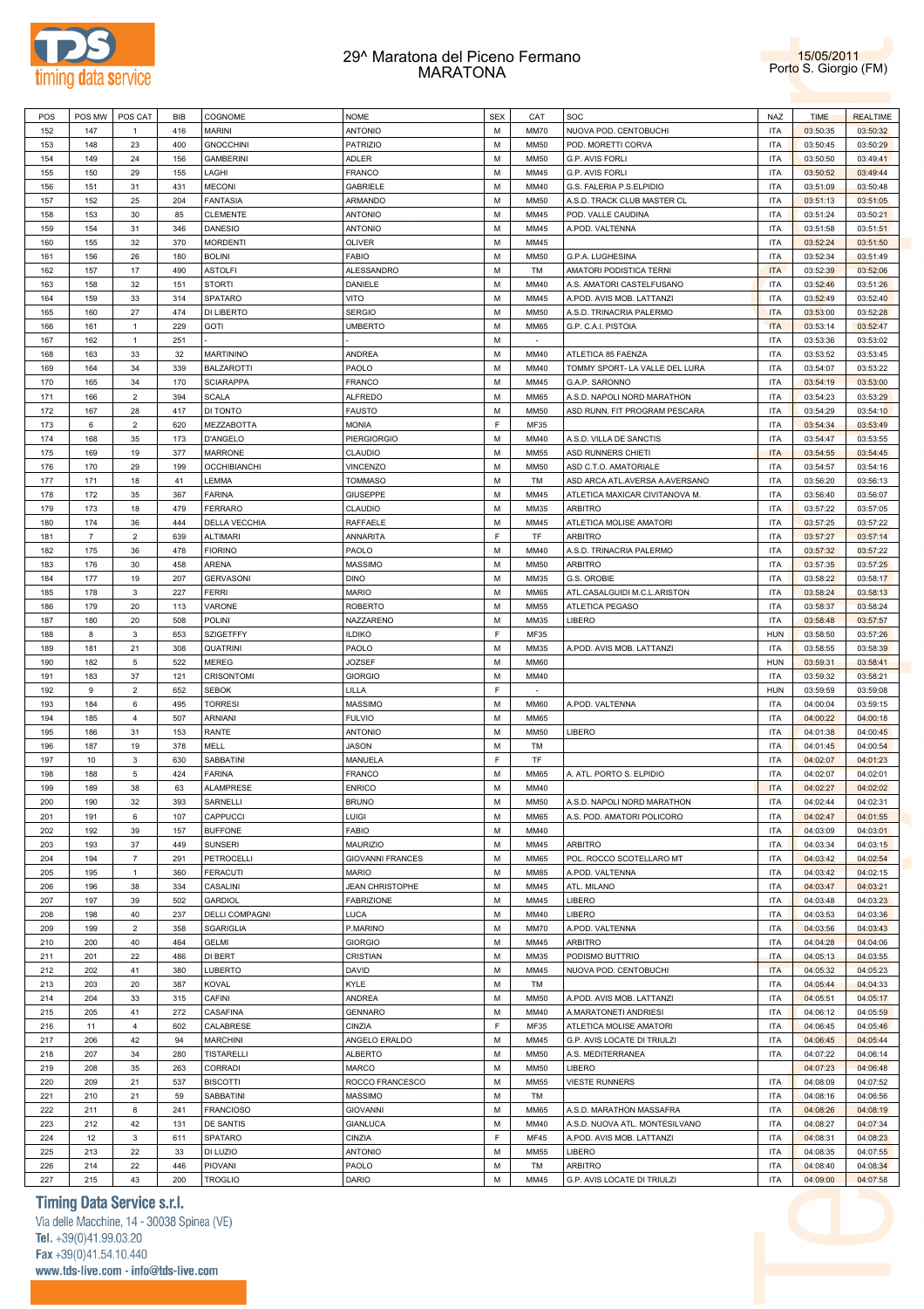



| POS | POS MW                    | POS CAT                   | <b>BIB</b> | COGNOME               | <b>NOME</b>             | <b>SEX</b> | CAT         | SOC                            | NAZ        | <b>TIME</b> | <b>REALTIME</b> |
|-----|---------------------------|---------------------------|------------|-----------------------|-------------------------|------------|-------------|--------------------------------|------------|-------------|-----------------|
| 152 | 147                       | $\mathbf{1}$              | 416        | <b>MARINI</b>         | <b>ANTONIO</b>          | M          | <b>MM70</b> | NUOVA POD. CENTOBUCHI          | <b>ITA</b> | 03:50:35    | 03:50:32        |
| 153 | 148                       | 23                        | 400        | <b>GNOCCHINI</b>      | <b>PATRIZIO</b>         | М          | <b>MM50</b> | POD. MORETTI CORVA             | <b>ITA</b> | 03:50:45    | 03:50:29        |
| 154 | 149                       | 24                        | 156        | <b>GAMBERINI</b>      | ADLER                   | M          | MM50        | G.P. AVIS FORLI                | <b>ITA</b> | 03:50:50    | 03:49:41        |
| 155 | 150                       | 29                        | 155        | LAGHI                 | FRANCO                  | М          | MM45        | G.P. AVIS FORLI                | <b>ITA</b> | 03:50:52    | 03:49:44        |
| 156 | 151                       | 31                        | 431        | <b>MECONI</b>         | <b>GABRIELE</b>         | M          | MM40        | G.S. FALERIA P.S.ELPIDIO       | <b>ITA</b> | 03:51:09    | 03:50:48        |
| 157 | 152                       | 25                        | 204        | <b>FANTASIA</b>       | ARMANDO                 | M          | <b>MM50</b> | A.S.D. TRACK CLUB MASTER CL    | <b>ITA</b> | 03:51:13    | 03:51:05        |
| 158 | 153                       | 30                        | 85         | <b>CLEMENTE</b>       | <b>ANTONIO</b>          | M          | MM45        | POD. VALLE CAUDINA             | <b>ITA</b> | 03:51:24    | 03:50:21        |
| 159 | 154                       | 31                        | 346        | <b>DANESIO</b>        | <b>ANTONIO</b>          | M          | MM45        | A.POD. VALTENNA                | <b>ITA</b> | 03:51:58    | 03:51:51        |
| 160 | 155                       | 32                        | 370        | <b>MORDENTI</b>       | <b>OLIVER</b>           | M          | MM45        |                                | <b>ITA</b> | 03:52:24    | 03:51:50        |
| 161 | 156                       | 26                        | 180        | <b>BOLINI</b>         | <b>FABIO</b>            | M          | <b>MM50</b> | G.P.A. LUGHESINA               | <b>ITA</b> | 03:52:34    | 03:51:49        |
| 162 | 157                       | 17                        | 490        | <b>ASTOLFI</b>        | ALESSANDRO              | M          | TM          | AMATORI PODISTICA TERNI        | <b>ITA</b> | 03:52:39    | 03:52:06        |
| 163 | 158                       | 32                        | 151        | <b>STORTI</b>         | DANIELE                 | M          | MM40        | A.S. AMATORI CASTELFUSANO      | <b>ITA</b> | 03:52:46    | 03:51:26        |
| 164 | 159                       | 33                        | 314        | <b>SPATARO</b>        | VITO                    | M          | MM45        | A.POD. AVIS MOB. LATTANZI      | <b>ITA</b> | 03:52:49    | 03:52:40        |
| 165 | 160                       | 27                        | 474        | DI LIBERTO            | <b>SERGIO</b>           | M          | <b>MM50</b> | A.S.D. TRINACRIA PALERMO       | <b>ITA</b> | 03:53:00    | 03:52:28        |
| 166 | 161                       | $\mathbf{1}$              | 229        | <b>GOTI</b>           | <b>UMBERTO</b>          | M          | MM65        | G.P. C.A.I. PISTOIA            | <b>ITA</b> | 03:53:14    | 03:52:47        |
| 167 | 162                       | $\mathbf{1}$              | 251        |                       |                         | М          | $\sim$      |                                | <b>ITA</b> | 03:53:36    | 03:53:02        |
| 168 | 163                       | 33                        | 32         | <b>MARTININO</b>      | ANDREA                  | M          | MM40        | ATLETICA 85 FAENZA             | <b>ITA</b> | 03:53:52    | 03:53:45        |
|     | 164                       | 34                        | 339        | <b>BALZAROTTI</b>     | PAOLO                   | M          | MM40        | TOMMY SPORT- LA VALLE DEL LURA | <b>ITA</b> | 03:54:07    | 03:53:22        |
| 169 |                           | 34                        | 170        |                       |                         | M          | MM45        |                                | <b>ITA</b> |             |                 |
| 170 | 165                       | $\overline{2}$            |            | <b>SCIARAPPA</b>      | <b>FRANCO</b>           | M          |             | G.A.P. SARONNO                 | <b>ITA</b> | 03:54:19    | 03:53:00        |
| 171 | 166                       |                           | 394        | <b>SCALA</b>          | <b>ALFREDO</b>          |            | <b>MM65</b> | A.S.D. NAPOLI NORD MARATHON    |            | 03:54:23    | 03:53:29        |
| 172 | 167                       | 28                        | 417        | DI TONTO              | <b>FAUSTO</b>           | M          | <b>MM50</b> | ASD RUNN. FIT PROGRAM PESCARA  | <b>ITA</b> | 03:54:29    | 03:54:10        |
| 173 | 6                         | $\overline{c}$            | 620        | MEZZABOTTA            | <b>MONIA</b>            | F          | <b>MF35</b> |                                | <b>ITA</b> | 03:54:34    | 03:53:49        |
| 174 | 168                       | 35                        | 173        | D'ANGELO              | <b>PIERGIORGIO</b>      | M          | MM40        | A.S.D. VILLA DE SANCTIS        | <b>ITA</b> | 03:54:47    | 03:53:55        |
| 175 | 169                       | 19                        | 377        | <b>MARRONE</b>        | CLAUDIO                 | M          | <b>MM55</b> | ASD RUNNERS CHIETI             | <b>ITA</b> | 03:54:55    | 03:54:45        |
| 176 | 170                       | 29                        | 199        | <b>OCCHIBIANCHI</b>   | VINCENZO                | M          | <b>MM50</b> | ASD C.T.O. AMATORIALE          | <b>ITA</b> | 03:54:57    | 03:54:16        |
| 177 | 171                       | 18                        | 41         | LEMMA                 | <b>TOMMASO</b>          | M          | TM          | ASD ARCA ATL.AVERSA A.AVERSANO | <b>ITA</b> | 03:56:20    | 03:56:13        |
| 178 | 172                       | 35                        | 367        | <b>FARINA</b>         | <b>GIUSEPPE</b>         | M          | MM45        | ATLETICA MAXICAR CIVITANOVA M. | <b>ITA</b> | 03:56:40    | 03:56:07        |
| 179 | 173                       | 18                        | 479        | <b>FERRARO</b>        | CLAUDIO                 | M          | MM35        | ARBITRO                        | <b>ITA</b> | 03:57:22    | 03:57:05        |
| 180 | 174                       | 36                        | 444        | DELLA VECCHIA         | RAFFAELE                | M          | MM45        | ATLETICA MOLISE AMATORI        | <b>ITA</b> | 03:57:25    | 03:57:22        |
| 181 | $\overline{\mathfrak{r}}$ | $\overline{2}$            | 639        | <b>ALTIMARI</b>       | ANNARITA                | F          | TF          | <b>ARBITRO</b>                 | <b>ITA</b> | 03:57:27    | 03:57:14        |
| 182 | 175                       | 36                        | 478        | <b>FIORINO</b>        | PAOLO                   | M          | MM40        | A.S.D. TRINACRIA PALERMO       | <b>ITA</b> | 03:57:32    | 03:57:22        |
| 183 | 176                       | 30                        | 458        | ARENA                 | <b>MASSIMO</b>          | M          | <b>MM50</b> | <b>ARBITRO</b>                 | <b>ITA</b> | 03:57:35    | 03:57:25        |
| 184 | 177                       | 19                        | 207        | <b>GERVASONI</b>      | <b>DINO</b>             | M          | MM35        | G.S. OROBIE                    | <b>ITA</b> | 03:58:22    | 03:58:17        |
| 185 | 178                       | $\mathbf 3$               | 227        | <b>FERRI</b>          | <b>MARIO</b>            | M          | <b>MM65</b> | ATL.CASALGUIDI M.C.L.ARISTON   | <b>ITA</b> | 03:58:24    | 03:58:13        |
| 186 | 179                       | 20                        | 113        | VARONE                | <b>ROBERTO</b>          | M          | <b>MM55</b> | ATLETICA PEGASO                | <b>ITA</b> | 03:58:37    | 03:58:24        |
| 187 | 180                       | 20                        | 508        | POLINI                | NAZZARENO               | M          | MM35        | LIBERO                         | <b>ITA</b> | 03:58:48    | 03:57:57        |
| 188 | 8                         | 3                         | 653        | SZIGETFFY             | <b>ILDIKO</b>           | F          | <b>MF35</b> |                                | <b>HUN</b> | 03:58:50    | 03:57:26        |
| 189 | 181                       | 21                        | 308        | <b>QUATRINI</b>       | PAOLO                   | M          | MM35        | A.POD. AVIS MOB. LATTANZI      | <b>ITA</b> | 03:58:55    | 03:58:39        |
| 190 | 182                       | 5                         | 522        | <b>MEREG</b>          | <b>JOZSEF</b>           | M          | <b>MM60</b> |                                | <b>HUN</b> | 03:59:31    | 03:58:41        |
| 191 | 183                       | 37                        | 121        | CRISONTOMI            | <b>GIORGIO</b>          | М          | MM40        |                                | <b>ITA</b> | 03:59:32    | 03:58:21        |
| 192 | 9                         | $\overline{2}$            | 652        | <b>SEBOK</b>          | LILLA                   | F          | $\sim$      |                                | <b>HUN</b> | 03:59:59    | 03:59:08        |
| 193 | 184                       | 6                         | 495        | <b>TORRESI</b>        | <b>MASSIMO</b>          | M          | <b>MM60</b> | A.POD. VALTENNA                | <b>ITA</b> | 04:00:04    | 03:59:15        |
| 194 | 185                       | 4                         | 507        | <b>ARNIANI</b>        | <b>FULVIO</b>           | M          | MM65        |                                | <b>ITA</b> | 04:00:22    | 04:00:18        |
| 195 | 186                       | 31                        | 153        | <b>RANTE</b>          | <b>ANTONIO</b>          | М          | <b>MM50</b> | LIBERO                         | <b>ITA</b> | 04:01:38    | 04:00:45        |
| 196 | 187                       | 19                        | 378        | MELL                  | <b>JASON</b>            | M          | TM          |                                | <b>ITA</b> | 04:01:45    | 04:00:54        |
| 197 | 10                        | 3                         | 630        | SABBATINI             | MANUELA                 | F          | TF          |                                | <b>ITA</b> | 04:02:07    | 04:01:23        |
| 198 | 188                       | 5                         | 424        | <b>FARINA</b>         | FRANCO                  | M          | MM65        | A. ATL. PORTO S. ELPIDIO       | <b>ITA</b> | 04:02:07    | 04:02:01        |
| 199 | 189                       | 38                        | 63         | <b>ALAMPRESE</b>      | <b>ENRICO</b>           | М          | MM40        |                                | <b>ITA</b> | 04:02:27    | 04:02:02        |
| 200 | 190                       | 32                        | 393        | SARNELLI              | <b>BRUNO</b>            | M          | <b>MM50</b> | A.S.D. NAPOLI NORD MARATHON    | <b>ITA</b> | 04:02:44    | 04:02:31        |
| 201 | 191                       | 6                         | 107        | CAPPUCCI              | LUIGI                   | M          | MM65        | A.S. POD. AMATORI POLICORO     | <b>ITA</b> | 04:02:47    | 04:01:55        |
| 202 | 192                       | 39                        | 157        | <b>BUFFONE</b>        | <b>FABIO</b>            | M          | MM40        |                                | <b>ITA</b> | 04:03:09    | 04:03:01        |
| 203 | 193                       | 37                        | 449        | <b>SUNSERI</b>        | <b>MAURIZIO</b>         | М          | MM45        | ARBITRO                        | <b>ITA</b> | 04:03:34    | 04:03:15        |
| 204 | 194                       | $\overline{7}$            | 291        | PETROCELLI            | <b>GIOVANNI FRANCES</b> | М          | <b>MM65</b> | POL. ROCCO SCOTELLARO MT       | <b>ITA</b> | 04:03:42    | 04:02:54        |
| 205 | 195                       | $\mathbf{1}$              | 360        | <b>FERACUTI</b>       | <b>MARIO</b>            | М          | <b>MM85</b> | A.POD. VALTENNA                | <b>ITA</b> | 04:03:42    | 04:02:15        |
| 206 | 196                       | 38                        | 334        | CASALINI              | <b>JEAN CHRISTOPHE</b>  | M          | MM45        | ATL. MILANO                    | <b>ITA</b> | 04:03:47    | 04:03:21        |
| 207 | 197                       | 39                        | 502        | <b>GARDIOL</b>        | <b>FABRIZIONE</b>       | М          | MM45        | LIBERO                         | <b>ITA</b> | 04:03:48    | 04:03:23        |
| 208 | 198                       | 40                        | 237        | <b>DELLI COMPAGNI</b> | LUCA                    | M          | MM40        | LIBERO                         | <b>ITA</b> | 04:03:53    | 04:03:36        |
| 209 | 199                       | $\overline{2}$            | 358        | SGARIGLIA             | P.MARINO                | М          | <b>MM70</b> | A.POD. VALTENNA                | <b>ITA</b> | 04:03:56    | 04:03:43        |
| 210 | 200                       | 40                        | 464        | <b>GELMI</b>          |                         | М          | MM45        | ARBITRO                        | <b>ITA</b> | 04:04:28    |                 |
|     |                           |                           |            |                       | <b>GIORGIO</b>          | М          |             | PODISMO BUTTRIO                |            |             | 04:04:06        |
| 211 | 201                       | 22                        | 486        | DI BERT               | CRISTIAN                |            | MM35        |                                | <b>ITA</b> | 04:05:13    | 04:03:55        |
| 212 | 202                       | 41                        | 380        | LUBERTO               | DAVID                   | М          | MM45        | NUOVA POD. CENTOBUCHI          | <b>ITA</b> | 04:05:32    | 04:05:23        |
| 213 | 203                       | 20                        | 387        | <b>KOVAL</b>          | KYLE                    | М          | TM          |                                | <b>ITA</b> | 04:05:44    | 04:04:33        |
| 214 | 204                       | 33                        | 315        | CAFINI                | ANDREA                  | М          | <b>MM50</b> | A.POD. AVIS MOB. LATTANZI      | <b>ITA</b> | 04:05:51    | 04:05:17        |
| 215 | 205                       | 41                        | 272        | CASAFINA              | <b>GENNARO</b>          | М          | MM40        | A.MARATONETI ANDRIESI          | <b>ITA</b> | 04:06:12    | 04:05:59        |
| 216 | 11                        | $\overline{4}$            | 602        | CALABRESE             | CINZIA                  | F          | <b>MF35</b> | ATLETICA MOLISE AMATORI        | <b>ITA</b> | 04:06:45    | 04:05:46        |
| 217 | 206                       | 42                        | 94         | <b>MARCHINI</b>       | ANGELO ERALDO           | М          | MM45        | G.P. AVIS LOCATE DI TRIULZI    | <b>ITA</b> | 04:06:45    | 04:05:44        |
| 218 | 207                       | 34                        | 280        | <b>TISTARELLI</b>     | <b>ALBERTO</b>          | М          | <b>MM50</b> | A.S. MEDITERRANEA              | <b>ITA</b> | 04:07:22    | 04:06:14        |
| 219 | 208                       | 35                        | 263        | CORRADI               | MARCO                   | М          | <b>MM50</b> | LIBERO                         |            | 04:07:23    | 04:06:48        |
| 220 | 209                       | 21                        | 537        | <b>BISCOTTI</b>       | ROCCO FRANCESCO         | М          | <b>MM55</b> | <b>VIESTE RUNNERS</b>          | <b>ITA</b> | 04:08:09    | 04:07:52        |
| 221 | 210                       | 21                        | 59         | SABBATINI             | MASSIMO                 | М          | TM          |                                | <b>ITA</b> | 04:08:16    | 04:06:56        |
| 222 | 211                       | 8                         | 241        | <b>FRANCIOSO</b>      | <b>GIOVANNI</b>         | М          | <b>MM65</b> | A.S.D. MARATHON MASSAFRA       | <b>ITA</b> | 04:08:26    | 04:08:19        |
| 223 | 212                       | 42                        | 131        | DE SANTIS             | <b>GIANLUCA</b>         | М          | MM40        | A.S.D. NUOVA ATL. MONTESILVANO | <b>ITA</b> | 04:08:27    | 04:07:34        |
| 224 | 12                        | $\ensuremath{\mathsf{3}}$ | 611        | SPATARO               | CINZIA                  | F          | <b>MF45</b> | A.POD. AVIS MOB. LATTANZI      | <b>ITA</b> | 04:08:31    | 04:08:23        |
| 225 | 213                       | 22                        | 33         | DI LUZIO              | <b>ANTONIO</b>          | М          | <b>MM55</b> | LIBERO                         | <b>ITA</b> | 04:08:35    | 04:07:55        |
| 226 | 214                       | 22                        | 446        | PIOVANI               | PAOLO                   | М          | TM          | <b>ARBITRO</b>                 | <b>ITA</b> | 04:08:40    | 04:08:34        |
| 227 | 215                       | 43                        | 200        | <b>TROGLIO</b>        | DARIO                   | М          | MM45        | G.P. AVIS LOCATE DI TRIULZI    | <b>ITA</b> | 04:09:00    | 04:07:58        |

# **Timing Data Service s.r.l.**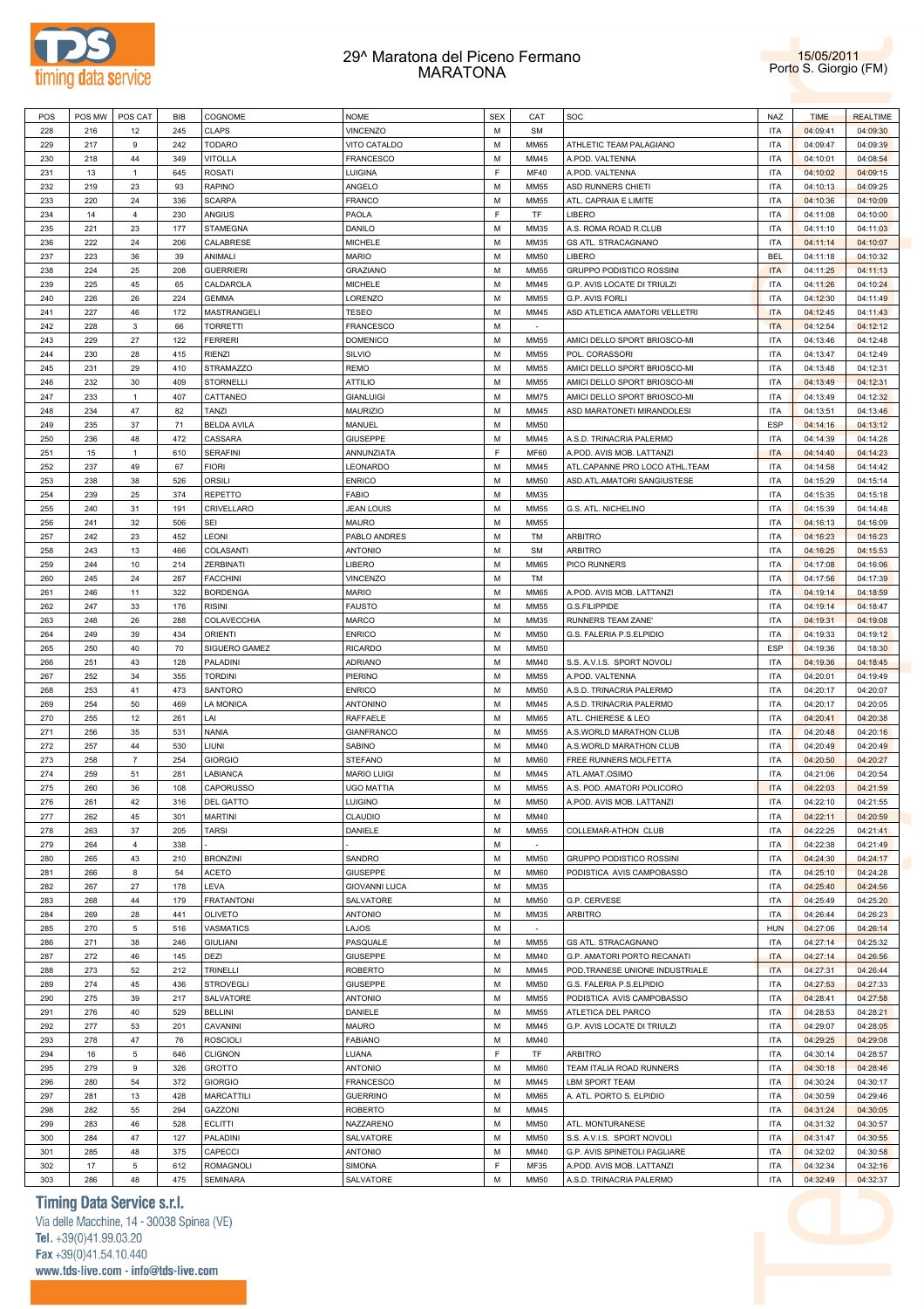



| POS | POS MW | POS CAT        | BIB | COGNOME            | <b>NOME</b>          | <b>SEX</b>  | CAT         | SOC                            | NAZ        | <b>TIME</b> | <b>REALTIME</b> |
|-----|--------|----------------|-----|--------------------|----------------------|-------------|-------------|--------------------------------|------------|-------------|-----------------|
| 228 | 216    | 12             | 245 | <b>CLAPS</b>       | <b>VINCENZO</b>      | M           | <b>SM</b>   |                                | <b>ITA</b> | 04:09:41    | 04:09:30        |
| 229 | 217    | 9              | 242 | <b>TODARO</b>      | VITO CATALDO         | M           | MM65        | ATHLETIC TEAM PALAGIANO        | <b>ITA</b> | 04:09:47    | 04:09:39        |
| 230 | 218    | 44             | 349 | <b>VITOLLA</b>     | FRANCESCO            | M           | MM45        | A.POD. VALTENNA                | <b>ITA</b> | 04:10:01    | 04:08:54        |
| 231 | 13     | $\mathbf{1}$   | 645 | <b>ROSATI</b>      | LUIGINA              | F           | <b>MF40</b> | A.POD. VALTENNA                | <b>ITA</b> | 04:10:02    | 04:09:15        |
|     |        | 23             | 93  |                    |                      | M           | MM55        |                                |            |             |                 |
| 232 | 219    |                |     | <b>RAPINO</b>      | ANGELO               |             |             | ASD RUNNERS CHIETI             | <b>ITA</b> | 04:10:13    | 04:09:25        |
| 233 | 220    | 24             | 336 | <b>SCARPA</b>      | FRANCO               | M           | MM55        | ATL. CAPRAIA E LIMITE          | <b>ITA</b> | 04:10:36    | 04:10:09        |
| 234 | 14     | 4              | 230 | ANGIUS             | PAOLA                | F           | TF          | LIBERO                         | <b>ITA</b> | 04:11:08    | 04:10:00        |
| 235 | 221    | 23             | 177 | <b>STAMEGNA</b>    | DANILO               | M           | MM35        | A.S. ROMA ROAD R.CLUB          | <b>ITA</b> | 04:11:10    | 04:11:03        |
| 236 | 222    | 24             | 206 | CALABRESE          | <b>MICHELE</b>       | M           | MM35        | GS ATL. STRACAGNANO            | <b>ITA</b> | 04:11:14    | 04:10:07        |
| 237 | 223    | 36             | 39  | ANIMALI            | <b>MARIO</b>         | M           | MM50        | LIBERO                         | <b>BEL</b> | 04:11:18    | 04:10:32        |
| 238 | 224    | 25             | 208 | <b>GUERRIERI</b>   | <b>GRAZIANO</b>      | M           | MM55        | GRUPPO PODISTICO ROSSINI       | <b>ITA</b> | 04:11:25    | 04:11:13        |
| 239 | 225    | 45             | 65  | CALDAROLA          | <b>MICHELE</b>       | M           | MM45        | G.P. AVIS LOCATE DI TRIULZI    | <b>ITA</b> | 04:11:26    | 04:10:24        |
| 240 | 226    | 26             | 224 | <b>GEMMA</b>       | LORENZO              | M           | MM55        | G.P. AVIS FORLI                | <b>ITA</b> | 04:12:30    | 04:11:49        |
|     | 227    | 46             | 172 |                    |                      | M           | MM45        | ASD ATLETICA AMATORI VELLETRI  | <b>ITA</b> |             |                 |
| 241 |        |                |     | MASTRANGELI        | <b>TESEO</b>         |             |             |                                |            | 04:12:45    | 04:11:43        |
| 242 | 228    | 3              | 66  | <b>TORRETTI</b>    | FRANCESCO            | M           |             |                                | <b>ITA</b> | 04:12:54    | 04:12:12        |
| 243 | 229    | 27             | 122 | <b>FERRERI</b>     | <b>DOMENICO</b>      | M           | MM55        | AMICI DELLO SPORT BRIOSCO-MI   | <b>ITA</b> | 04:13:46    | 04:12:48        |
| 244 | 230    | 28             | 415 | <b>RIENZI</b>      | <b>SILVIO</b>        | M           | MM55        | POL. CORASSORI                 | <b>ITA</b> | 04:13:47    | 04:12:49        |
| 245 | 231    | 29             | 410 | <b>STRAMAZZO</b>   | REMO                 | M           | MM55        | AMICI DELLO SPORT BRIOSCO-MI   | <b>ITA</b> | 04:13:48    | 04:12:31        |
| 246 | 232    | 30             | 409 | <b>STORNELLI</b>   | ATTILIO              | M           | MM55        | AMICI DELLO SPORT BRIOSCO-MI   | <b>ITA</b> | 04:13:49    | 04:12:31        |
| 247 | 233    | $\mathbf{1}$   | 407 | CATTANEO           | GIANLUIGI            | M           | <b>MM75</b> | AMICI DELLO SPORT BRIOSCO-MI   | <b>ITA</b> | 04:13:49    | 04:12:32        |
| 248 | 234    | 47             | 82  | <b>TANZI</b>       | <b>MAURIZIO</b>      | M           | MM45        | ASD MARATONETI MIRANDOLESI     | <b>ITA</b> | 04:13:51    | 04:13:46        |
| 249 | 235    | 37             | 71  | <b>BELDA AVILA</b> | MANUEL               | M           | MM50        |                                | ESP        | 04:14:16    | 04:13:12        |
| 250 | 236    | 48             | 472 | CASSARA            | GIUSEPPE             | M           | MM45        | A.S.D. TRINACRIA PALERMO       | <b>ITA</b> | 04:14:39    | 04:14:28        |
|     |        |                |     |                    |                      |             |             |                                |            |             |                 |
| 251 | 15     | $\mathbf{1}$   | 610 | <b>SERAFINI</b>    | ANNUNZIATA           | F           | <b>MF60</b> | A.POD. AVIS MOB. LATTANZI      | <b>ITA</b> | 04:14:40    | 04:14:23        |
| 252 | 237    | 49             | 67  | <b>FIORI</b>       | LEONARDO             | M           | MM45        | ATL.CAPANNE PRO LOCO ATHL.TEAM | <b>ITA</b> | 04:14:58    | 04:14:42        |
| 253 | 238    | 38             | 526 | <b>ORSILI</b>      | <b>ENRICO</b>        | M           | MM50        | ASD.ATL.AMATORI SANGIUSTESE    | <b>ITA</b> | 04:15:29    | 04:15:14        |
| 254 | 239    | 25             | 374 | <b>REPETTO</b>     | FABIO                | M           | MM35        |                                | <b>ITA</b> | 04:15:35    | 04:15:18        |
| 255 | 240    | 31             | 191 | CRIVELLARO         | <b>JEAN LOUIS</b>    | M           | MM55        | G.S. ATL. NICHELINO            | <b>ITA</b> | 04:15:39    | 04:14:48        |
| 256 | 241    | 32             | 506 | SEI                | <b>MAURO</b>         | M           | MM55        |                                | <b>ITA</b> | 04:16:13    | 04:16:09        |
| 257 | 242    | 23             | 452 | LEONI              | PABLO ANDRES         | M           | TM          | ARBITRO                        | <b>ITA</b> | 04:16:23    | 04:16:23        |
| 258 | 243    | 13             | 466 | COLASANTI          | <b>ANTONIO</b>       | M           | <b>SM</b>   | ARBITRO                        | <b>ITA</b> | 04:16:25    | 04:15:53        |
| 259 | 244    | 10             | 214 | ZERBINATI          | LIBERO               | M           | <b>MM65</b> | PICO RUNNERS                   | <b>ITA</b> | 04:17:08    | 04:16:06        |
|     |        |                |     |                    |                      |             |             |                                |            |             |                 |
| 260 | 245    | 24             | 287 | <b>FACCHINI</b>    | <b>VINCENZO</b>      | M           | TM          |                                | <b>ITA</b> | 04:17:56    | 04:17:39        |
| 261 | 246    | 11             | 322 | <b>BORDENGA</b>    | <b>MARIO</b>         | M           | MM65        | A.POD. AVIS MOB. LATTANZI      | <b>ITA</b> | 04:19:14    | 04:18:59        |
| 262 | 247    | 33             | 176 | <b>RISINI</b>      | <b>FAUSTO</b>        | M           | MM55        | G.S.FILIPPIDE                  | <b>ITA</b> | 04:19:14    | 04:18:47        |
| 263 | 248    | 26             | 288 | COLAVECCHIA        | MARCO                | M           | MM35        | RUNNERS TEAM ZANE'             | <b>ITA</b> | 04:19:31    | 04:19:08        |
| 264 | 249    | 39             | 434 | <b>ORIENTI</b>     | <b>ENRICO</b>        | M           | MM50        | G.S. FALERIA P.S.ELPIDIO       | <b>ITA</b> | 04:19:33    | 04:19:12        |
| 265 | 250    | 40             | 70  | SIGUERO GAMEZ      | <b>RICARDO</b>       | M           | MM50        |                                | ESP        | 04:19:36    | 04:18:30        |
| 266 | 251    | 43             | 128 | PALADINI           | <b>ADRIANO</b>       | M           | MM40        | S.S. A.V.I.S. SPORT NOVOLI     | <b>ITA</b> | 04:19:36    | 04:18:45        |
| 267 | 252    | 34             | 355 | <b>TORDINI</b>     | PIERINO              | M           | MM55        | A.POD. VALTENNA                | <b>ITA</b> | 04:20:01    | 04:19:49        |
| 268 | 253    | 41             | 473 | SANTORO            | <b>ENRICO</b>        | M           | MM50        | A.S.D. TRINACRIA PALERMO       | <b>ITA</b> | 04:20:17    | 04:20:07        |
|     |        |                |     |                    |                      |             |             |                                |            |             |                 |
| 269 | 254    | 50             | 469 | LA MONICA          | <b>ANTONINO</b>      | M           | MM45        | A.S.D. TRINACRIA PALERMO       | <b>ITA</b> | 04:20:17    | 04:20:05        |
| 270 | 255    | 12             | 261 | LAI                | RAFFAELE             | M           | MM65        | ATL. CHIERESE & LEO            | <b>ITA</b> | 04:20:41    | 04:20:38        |
| 271 | 256    | 35             | 531 | <b>NANIA</b>       | GIANFRANCO           | M           | MM55        | A.S.WORLD MARATHON CLUB        | <b>ITA</b> | 04:20:48    | 04:20:16        |
| 272 | 257    | 44             | 530 | LIUNI              | SABINO               | M           | MM40        | A.S.WORLD MARATHON CLUB        | <b>ITA</b> | 04:20:49    | 04:20:49        |
| 273 | 258    | $\overline{7}$ | 254 | <b>GIORGIO</b>     | STEFANO              | M           | <b>MM60</b> | FREE RUNNERS MOLFETTA          | <b>ITA</b> | 04:20:50    | 04:20:27        |
| 274 | 259    | 51             | 281 | LABIANCA           | <b>MARIO LUIGI</b>   | M           | MM45        | ATL.AMAT.OSIMO                 | <b>ITA</b> | 04:21:06    | 04:20:54        |
| 275 | 260    | 36             | 108 | <b>CAPORUSSO</b>   | UGO MATTIA           | M           | MM55        | A.S. POD. AMATORI POLICORO     | <b>ITA</b> | 04:22:03    | 04:21:59        |
| 276 | 261    | 42             | 316 | <b>DEL GATTO</b>   | <b>LUIGINO</b>       | M           | <b>MM50</b> | A.POD. AVIS MOB. LATTANZI      | <b>ITA</b> | 04:22:10    | 04:21:55        |
| 277 | 262    | 45             | 301 | <b>MARTINI</b>     | CLAUDIO              | M           | MM40        |                                | <b>ITA</b> | 04:22:11    | 04:20:59        |
|     |        |                |     |                    |                      |             |             |                                |            |             |                 |
| 278 | 263    | 37             | 205 | <b>TARSI</b>       | DANIELE              | M           | MM55        | COLLEMAR-ATHON CLUB            | <b>ITA</b> | 04:22:25    | 04:21:41        |
| 279 | 264    | $\overline{4}$ | 338 |                    |                      | M           | $\sim$      |                                | <b>ITA</b> | 04:22:38    | 04:21:49        |
| 280 | 265    | 43             | 210 | <b>BRONZINI</b>    | SANDRO               | M           | MM50        | GRUPPO PODISTICO ROSSINI       | <b>ITA</b> | 04:24:30    | 04:24:17        |
| 281 | 266    | 8              | 54  | ACETO              | GIUSEPPE             | M           | <b>MM60</b> | PODISTICA AVIS CAMPOBASSO      | <b>ITA</b> | 04:25:10    | 04:24:28        |
| 282 | 267    | 27             | 178 | LEVA               | <b>GIOVANNI LUCA</b> | M           | MM35        |                                | <b>ITA</b> | 04:25:40    | 04:24:56        |
| 283 | 268    | 44             | 179 | <b>FRATANTONI</b>  | SALVATORE            | M           | MM50        | G.P. CERVESE                   | <b>ITA</b> | 04:25:49    | 04:25:20        |
| 284 | 269    | 28             | 441 | OLIVETO            | <b>ANTONIO</b>       | M           | MM35        | <b>ARBITRO</b>                 | <b>ITA</b> | 04:26:44    | 04:26:23        |
| 285 | 270    | $\mathbf 5$    | 516 | VASMATICS          | LAJOS                | M           |             |                                | <b>HUN</b> | 04:27:06    | 04:26:14        |
| 286 | 271    | 38             | 246 | <b>GIULIANI</b>    | PASQUALE             | M           | MM55        | GS ATL. STRACAGNANO            | <b>ITA</b> | 04:27:14    | 04:25:32        |
| 287 | 272    | 46             | 145 | DEZI               | GIUSEPPE             | M           | MM40        | G.P. AMATORI PORTO RECANATI    | <b>ITA</b> | 04:27:14    | 04:26:56        |
|     |        |                |     |                    |                      |             |             |                                |            |             |                 |
| 288 | 273    | 52             | 212 | TRINELLI           | <b>ROBERTO</b>       | M           | MM45        | POD.TRANESE UNIONE INDUSTRIALE | <b>ITA</b> | 04:27:31    | 04:26:44        |
| 289 | 274    | 45             | 436 | <b>STROVEGLI</b>   | GIUSEPPE             | M           | MM50        | G.S. FALERIA P.S.ELPIDIO       | <b>ITA</b> | 04:27:53    | 04:27:33        |
| 290 | 275    | 39             | 217 | SALVATORE          | <b>ANTONIO</b>       | M           | MM55        | PODISTICA AVIS CAMPOBASSO      | <b>ITA</b> | 04:28:41    | 04:27:58        |
| 291 | 276    | 40             | 529 | <b>BELLINI</b>     | DANIELE              | M           | MM55        | ATLETICA DEL PARCO             | <b>ITA</b> | 04:28:53    | 04:28:21        |
| 292 | 277    | 53             | 201 | CAVANINI           | MAURO                | M           | MM45        | G.P. AVIS LOCATE DI TRIULZI    | <b>ITA</b> | 04:29:07    | 04:28:05        |
| 293 | 278    | 47             | 76  | <b>ROSCIOLI</b>    | <b>FABIANO</b>       | M           | MM40        |                                | <b>ITA</b> | 04:29:25    | 04:29:08        |
| 294 | 16     | $\mathbf 5$    | 646 | <b>CLIGNON</b>     | LUANA                | F           | TF          | <b>ARBITRO</b>                 | <b>ITA</b> | 04:30:14    | 04:28:57        |
| 295 | 279    | 9              | 326 | <b>GROTTO</b>      | <b>ANTONIO</b>       | M           | <b>MM60</b> | TEAM ITALIA ROAD RUNNERS       | <b>ITA</b> | 04:30:18    | 04:28:46        |
| 296 | 280    | 54             | 372 | <b>GIORGIO</b>     | <b>FRANCESCO</b>     | M           | MM45        | LBM SPORT TEAM                 | <b>ITA</b> | 04:30:24    | 04:30:17        |
|     |        |                |     |                    |                      |             |             |                                |            |             |                 |
| 297 | 281    | 13             | 428 | <b>MARCATTILI</b>  | <b>GUERRINO</b>      | M           | MM65        | A. ATL. PORTO S. ELPIDIO       | <b>ITA</b> | 04:30:59    | 04:29:46        |
| 298 | 282    | 55             | 294 | GAZZONI            | ROBERTO              | M           | MM45        |                                | <b>ITA</b> | 04:31:24    | 04:30:05        |
| 299 | 283    | 46             | 528 | <b>ECLITTI</b>     | NAZZARENO            | M           | MM50        | ATL. MONTURANESE               | <b>ITA</b> | 04:31:32    | 04:30:57        |
| 300 | 284    | 47             | 127 | PALADINI           | SALVATORE            | M           | MM50        | S.S. A.V.I.S. SPORT NOVOLI     | <b>ITA</b> | 04:31:47    | 04:30:55        |
| 301 | 285    | 48             | 375 | CAPECCI            | <b>ANTONIO</b>       | M           | MM40        | G.P. AVIS SPINETOLI PAGLIARE   | <b>ITA</b> | 04:32:02    | 04:30:58        |
| 302 | 17     | 5              | 612 | <b>ROMAGNOLI</b>   | SIMONA               | $\mathsf F$ | MF35        | A.POD. AVIS MOB. LATTANZI      | <b>ITA</b> | 04:32:34    | 04:32:16        |
| 303 | 286    | 48             | 475 | <b>SEMINARA</b>    | SALVATORE            | M           | <b>MM50</b> | A.S.D. TRINACRIA PALERMO       | <b>ITA</b> | 04:32:49    | 04:32:37        |

# **Timing Data Service s.r.l.**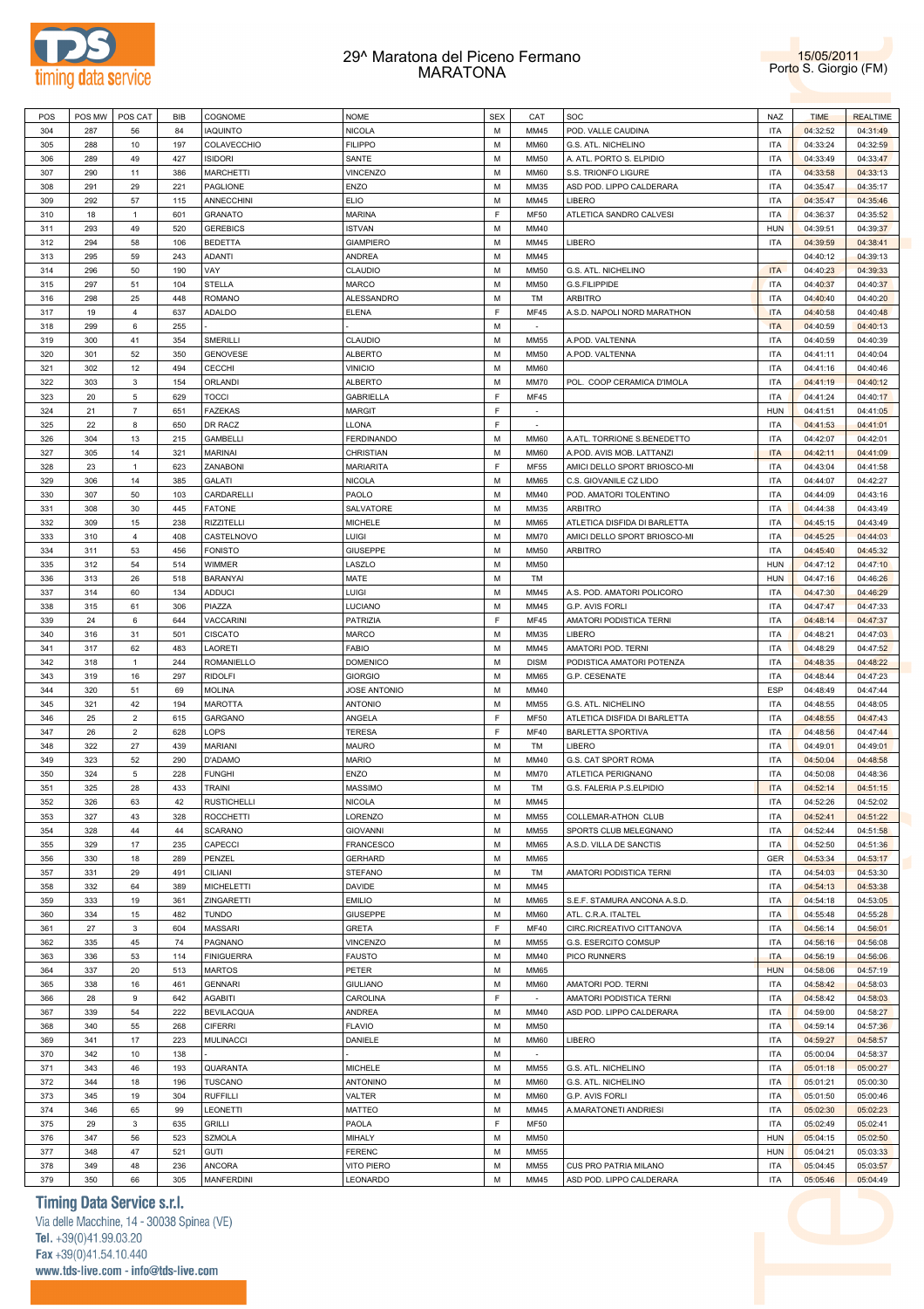



| POS | POS MW | POS CAT        | BIB | COGNOME            | <b>NOME</b>         | <b>SEX</b> | CAT         | SOC                          | NAZ        | <b>TIME</b> | <b>REALTIME</b> |
|-----|--------|----------------|-----|--------------------|---------------------|------------|-------------|------------------------------|------------|-------------|-----------------|
| 304 | 287    | 56             | 84  | <b>IAQUINTO</b>    | NICOLA              | M          | MM45        | POD. VALLE CAUDINA           | <b>ITA</b> | 04:32:52    | 04:31:49        |
| 305 | 288    | 10             | 197 | COLAVECCHIO        | <b>FILIPPO</b>      | М          | <b>MM60</b> | G.S. ATL. NICHELINO          | <b>ITA</b> | 04:33:24    | 04:32:59        |
|     |        |                |     |                    |                     |            |             |                              |            |             |                 |
| 306 | 289    | 49             | 427 | <b>ISIDORI</b>     | SANTE               | М          | <b>MM50</b> | A. ATL. PORTO S. ELPIDIO     | <b>ITA</b> | 04:33:49    | 04:33:47        |
| 307 | 290    | 11             | 386 | <b>MARCHETTI</b>   | <b>VINCENZO</b>     | М          | MM60        | S.S. TRIONFO LIGURE          | <b>ITA</b> | 04:33:58    | 04:33:13        |
| 308 | 291    | 29             | 221 | PAGLIONE           | ENZO                | M          | MM35        | ASD POD. LIPPO CALDERARA     | <b>ITA</b> | 04:35:47    | 04:35:17        |
| 309 | 292    | 57             | 115 | ANNECCHINI         | <b>ELIO</b>         | М          | MM45        | LIBERO                       | <b>ITA</b> | 04:35:47    | 04:35:46        |
| 310 | 18     | $\mathbf{1}$   | 601 | <b>GRANATO</b>     | <b>MARINA</b>       | E          | MF50        | ATLETICA SANDRO CALVESI      | <b>ITA</b> | 04:36:37    | 04:35:52        |
| 311 | 293    | 49             | 520 | <b>GEREBICS</b>    | <b>ISTVAN</b>       | М          | MM40        |                              | <b>HUN</b> | 04:39:51    | 04:39:37        |
| 312 | 294    | 58             | 106 | <b>BEDETTA</b>     | <b>GIAMPIERO</b>    | M          | MM45        | LIBERO                       | <b>ITA</b> | 04:39:59    | 04:38:41        |
|     |        |                |     |                    |                     |            |             |                              |            |             |                 |
| 313 | 295    | 59             | 243 | ADANTI             | <b>ANDREA</b>       | М          | MM45        |                              |            | 04:40:12    | 04:39:13        |
| 314 | 296    | 50             | 190 | VAY                | CLAUDIO             | М          | <b>MM50</b> | G.S. ATL. NICHELINO          | <b>ITA</b> | 04:40:23    | 04:39:33        |
| 315 | 297    | 51             | 104 | STELLA             | MARCO               | М          | <b>MM50</b> | G.S.FILIPPIDE                | <b>ITA</b> | 04:40:37    | 04:40:37        |
| 316 | 298    | 25             | 448 | <b>ROMANO</b>      | ALESSANDRO          | М          | TM          | <b>ARBITRO</b>               | <b>ITA</b> | 04:40:40    | 04:40:20        |
| 317 | 19     | $\overline{4}$ | 637 | ADALDO             | <b>ELENA</b>        | F          | <b>MF45</b> | A.S.D. NAPOLI NORD MARATHON  | <b>ITA</b> | 04:40:58    | 04:40:48        |
| 318 | 299    | 6              | 255 |                    |                     | M          | $\sim$      |                              | <b>ITA</b> | 04:40:59    | 04:40:13        |
| 319 | 300    | 41             | 354 | SMERILLI           | CLAUDIO             | М          | MM55        | A.POD. VALTENNA              | <b>ITA</b> | 04:40:59    | 04:40:39        |
| 320 | 301    | 52             | 350 | <b>GENOVESE</b>    | <b>ALBERTO</b>      | M          | <b>MM50</b> | A.POD. VALTENNA              | <b>ITA</b> | 04:41:11    | 04:40:04        |
|     |        |                |     |                    |                     |            |             |                              |            |             |                 |
| 321 | 302    | 12             | 494 | CECCHI             | <b>VINICIO</b>      | М          | <b>MM60</b> |                              | <b>ITA</b> | 04:41:16    | 04:40:46        |
| 322 | 303    | 3              | 154 | ORLANDI            | <b>ALBERTO</b>      | М          | <b>MM70</b> | POL. COOP CERAMICA D'IMOLA   | <b>ITA</b> | 04:41:19    | 04:40:12        |
| 323 | 20     | 5              | 629 | <b>TOCCI</b>       | <b>GABRIELLA</b>    | E          | MF45        |                              | <b>ITA</b> | 04:41:24    | 04:40:17        |
| 324 | 21     | $\overline{7}$ | 651 | <b>FAZEKAS</b>     | <b>MARGIT</b>       | F          |             |                              | <b>HUN</b> | 04:41:51    | 04:41:05        |
| 325 | 22     | 8              | 650 | DR RACZ            | LLONA               | E          |             |                              | <b>ITA</b> | 04:41:53    | 04:41:01        |
| 326 | 304    | 13             | 215 | <b>GAMBELLI</b>    | <b>FERDINANDO</b>   | M          | <b>MM60</b> | A.ATL. TORRIONE S.BENEDETTO  | <b>ITA</b> | 04:42:07    | 04:42:01        |
| 327 | 305    | 14             | 321 | MARINAI            | CHRISTIAN           | М          | <b>MM60</b> | A.POD. AVIS MOB. LATTANZI    | <b>ITA</b> | 04:42:11    | 04:41:09        |
|     |        |                |     |                    |                     | E          |             |                              |            |             |                 |
| 328 | 23     | $\mathbf{1}$   | 623 | <b>ZANABONI</b>    | <b>MARIARITA</b>    |            | MF55        | AMICI DELLO SPORT BRIOSCO-MI | <b>ITA</b> | 04:43:04    | 04:41:58        |
| 329 | 306    | 14             | 385 | GALATI             | <b>NICOLA</b>       | M          | <b>MM65</b> | C.S. GIOVANILE CZ LIDO       | <b>ITA</b> | 04:44:07    | 04:42:27        |
| 330 | 307    | 50             | 103 | CARDARELLI         | PAOLO               | M          | MM40        | POD. AMATORI TOLENTINO       | <b>ITA</b> | 04:44:09    | 04:43:16        |
| 331 | 308    | 30             | 445 | <b>FATONE</b>      | SALVATORE           | М          | MM35        | <b>ARBITRO</b>               | <b>ITA</b> | 04:44:38    | 04:43:49        |
| 332 | 309    | 15             | 238 | <b>RIZZITELLI</b>  | <b>MICHELE</b>      | M          | <b>MM65</b> | ATLETICA DISFIDA DI BARLETTA | <b>ITA</b> | 04:45:15    | 04:43:49        |
| 333 | 310    | $\overline{4}$ | 408 | CASTELNOVO         | Luigi               | М          | <b>MM70</b> | AMICI DELLO SPORT BRIOSCO-MI | <b>ITA</b> | 04:45:25    | 04:44:03        |
| 334 | 311    | 53             | 456 | <b>FONISTO</b>     | <b>GIUSEPPE</b>     | М          | <b>MM50</b> | <b>ARBITRO</b>               | <b>ITA</b> | 04:45:40    | 04:45:32        |
|     |        |                |     |                    |                     |            |             |                              |            |             |                 |
| 335 | 312    | 54             | 514 | WIMMER             | LASZLO              | М          | <b>MM50</b> |                              | <b>HUN</b> | 04:47:12    | 04:47:10        |
| 336 | 313    | 26             | 518 | BARANYAI           | MATE                | М          | TM          |                              | <b>HUN</b> | 04:47:16    | 04:46:26        |
| 337 | 314    | 60             | 134 | ADDUCI             | Luigi               | М          | MM45        | A.S. POD. AMATORI POLICORO   | <b>ITA</b> | 04:47:30    | 04:46:29        |
| 338 | 315    | 61             | 306 | PIAZZA             | LUCIANO             | M          | MM45        | G.P. AVIS FORLI              | <b>ITA</b> | 04:47:47    | 04:47:33        |
| 339 | 24     | 6              | 644 | VACCARINI          | PATRIZIA            | E          | MF45        | AMATORI PODISTICA TERNI      | <b>ITA</b> | 04:48:14    | 04:47:37        |
| 340 | 316    | 31             | 501 | <b>CISCATO</b>     | <b>MARCO</b>        | M          | MM35        | LIBERO                       | <b>ITA</b> | 04:48:21    | 04:47:03        |
| 341 | 317    | 62             | 483 | LAORETI            | <b>FABIO</b>        | М          | MM45        | AMATORI POD. TERNI           | <b>ITA</b> | 04:48:29    | 04:47:52        |
|     | 318    |                | 244 | ROMANIELLO         |                     | М          | <b>DISM</b> |                              | <b>ITA</b> |             |                 |
| 342 |        | 1              |     |                    | <b>DOMENICO</b>     |            |             | PODISTICA AMATORI POTENZA    |            | 04:48:35    | 04:48:22        |
| 343 | 319    | 16             | 297 | <b>RIDOLFI</b>     | <b>GIORGIO</b>      | М          | MM65        | G.P. CESENATE                | <b>ITA</b> | 04:48:44    | 04:47:23        |
| 344 | 320    | 51             | 69  | <b>MOLINA</b>      | <b>JOSE ANTONIO</b> | M          | MM40        |                              | <b>ESP</b> | 04:48:49    | 04:47:44        |
| 345 | 321    | 42             | 194 | <b>MAROTTA</b>     | <b>ANTONIO</b>      | М          | MM55        | G.S. ATL. NICHELINO          | <b>ITA</b> | 04:48:55    | 04:48:05        |
| 346 | 25     | $\overline{2}$ | 615 | GARGANO            | ANGELA              | F          | MF50        | ATLETICA DISFIDA DI BARLETTA | <b>ITA</b> | 04:48:55    | 04:47:43        |
| 347 | 26     | $\overline{2}$ | 628 | LOPS               | <b>TERESA</b>       | E          | <b>MF40</b> | <b>BARLETTA SPORTIVA</b>     | <b>ITA</b> | 04:48:56    | 04:47:44        |
| 348 | 322    | 27             | 439 | MARIANI            | <b>MAURO</b>        | М          | TM          | LIBERO                       | <b>ITA</b> | 04:49:01    | 04:49:01        |
| 349 | 323    | 52             | 290 | D'ADAMO            | <b>MARIO</b>        | М          | MM40        | G.S. CAT SPORT ROMA          | <b>ITA</b> | 04:50:04    | 04:48:58        |
|     |        |                |     |                    |                     |            |             |                              |            |             |                 |
| 350 | 324    | 5              | 228 | <b>FUNGHI</b>      | ENZO                | М          | <b>MM70</b> | ATLETICA PERIGNANO           | <b>ITA</b> | 04:50:08    | 04:48:36        |
| 351 | 325    | 28             | 433 | <b>TRAINI</b>      | <b>MASSIMO</b>      | М          | TM          | G.S. FALERIA P.S.ELPIDIO     | <b>ITA</b> | 04:52:14    | 04:51:15        |
| 352 | 326    | 63             | 42  | <b>RUSTICHELLI</b> | <b>NICOLA</b>       | M          | MM45        |                              | <b>ITA</b> | 04:52:26    | 04:52:02        |
| 353 | 327    | 43             | 328 | <b>ROCCHETTI</b>   | LORENZO             | М          | MM55        | COLLEMAR-ATHON CLUB          | <b>ITA</b> | 04:52:41    | 04:51:22        |
| 354 | 328    | 44             | 44  | SCARANO            | <b>GIOVANNI</b>     | M          | MM55        | SPORTS CLUB MELEGNANO        | <b>ITA</b> | 04:52:44    | 04:51:58        |
| 355 | 329    | 17             | 235 | CAPECCI            | <b>FRANCESCO</b>    | M          | MM65        | A.S.D. VILLA DE SANCTIS      | <b>ITA</b> | 04:52:50    | 04:51:36        |
| 356 | 330    | 18             | 289 | PENZEL             | <b>GERHARD</b>      | M          | <b>MM65</b> |                              | GER        | 04:53:34    | 04:53:17        |
| 357 | 331    | 29             | 491 | CILIANI            | <b>STEFANO</b>      | M          | TM          | AMATORI PODISTICA TERNI      | <b>ITA</b> | 04:54:03    | 04:53:30        |
| 358 | 332    | 64             | 389 | <b>MICHELETTI</b>  | DAVIDE              | M          | MM45        |                              | <b>ITA</b> | 04:54:13    | 04:53:38        |
|     |        |                |     |                    |                     |            |             |                              |            |             |                 |
| 359 | 333    | 19             | 361 | ZINGARETTI         | <b>EMILIO</b>       | M          | MM65        | S.E.F. STAMURA ANCONA A.S.D. | <b>ITA</b> | 04:54:18    | 04:53:05        |
| 360 | 334    | 15             | 482 | <b>TUNDO</b>       | <b>GIUSEPPE</b>     | M          | <b>MM60</b> | ATL. C.R.A. ITALTEL          | <b>ITA</b> | 04:55:48    | 04:55:28        |
| 361 | 27     | 3              | 604 | <b>MASSARI</b>     | <b>GRETA</b>        | E          | <b>MF40</b> | CIRC.RICREATIVO CITTANOVA    | <b>ITA</b> | 04:56:14    | 04:56:01        |
| 362 | 335    | 45             | 74  | PAGNANO            | <b>VINCENZO</b>     | M          | MM55        | G.S. ESERCITO COMSUP         | <b>ITA</b> | 04:56:16    | 04:56:08        |
| 363 | 336    | 53             | 114 | <b>FINIGUERRA</b>  | <b>FAUSTO</b>       | M          | MM40        | PICO RUNNERS                 | <b>ITA</b> | 04:56:19    | 04:56:06        |
| 364 | 337    | 20             | 513 | <b>MARTOS</b>      | PETER               | M          | MM65        |                              | <b>HUN</b> | 04:58:06    | 04:57:19        |
| 365 | 338    | 16             | 461 | <b>GENNARI</b>     | <b>GIULIANO</b>     | M          | <b>MM60</b> | AMATORI POD. TERNI           | <b>ITA</b> | 04:58:42    | 04:58:03        |
|     |        |                |     |                    |                     |            |             |                              |            |             |                 |
| 366 | 28     | 9              | 642 | <b>AGABITI</b>     | CAROLINA            | F          | $\sim$      | AMATORI PODISTICA TERNI      | <b>ITA</b> | 04:58:42    | 04:58:03        |
| 367 | 339    | 54             | 222 | <b>BEVILACQUA</b>  | <b>ANDREA</b>       | M          | MM40        | ASD POD. LIPPO CALDERARA     | <b>ITA</b> | 04:59:00    | 04:58:27        |
| 368 | 340    | 55             | 268 | <b>CIFERRI</b>     | <b>FLAVIO</b>       | M          | <b>MM50</b> |                              | <b>ITA</b> | 04:59:14    | 04:57:36        |
| 369 | 341    | 17             | 223 | <b>MULINACCI</b>   | DANIELE             | М          | <b>MM60</b> | LIBERO                       | <b>ITA</b> | 04:59:27    | 04:58:57        |
| 370 | 342    | 10             | 138 |                    |                     | M          | $\sim$      |                              | <b>ITA</b> | 05:00:04    | 04:58:37        |
| 371 | 343    | 46             | 193 | QUARANTA           | <b>MICHELE</b>      | M          | MM55        | G.S. ATL. NICHELINO          | <b>ITA</b> | 05:01:18    | 05:00:27        |
| 372 | 344    | 18             | 196 | <b>TUSCANO</b>     | ANTONINO            | M          | <b>MM60</b> | G.S. ATL. NICHELINO          | <b>ITA</b> | 05:01:21    | 05:00:30        |
| 373 | 345    | 19             | 304 | <b>RUFFILLI</b>    | VALTER              | M          | <b>MM60</b> | G.P. AVIS FORLI              | <b>ITA</b> | 05:01:50    | 05:00:46        |
|     |        |                |     |                    |                     |            |             |                              |            |             |                 |
| 374 | 346    | 65             | 99  | LEONETTI           | MATTEO              | M          | MM45        | A.MARATONETI ANDRIESI        | <b>ITA</b> | 05:02:30    | 05:02:23        |
| 375 | 29     | 3              | 635 | <b>GRILLI</b>      | PAOLA               | E          | <b>MF50</b> |                              | <b>ITA</b> | 05:02:49    | 05:02:41        |
| 376 | 347    | 56             | 523 | <b>SZMOLA</b>      | MIHALY              | M          | MM50        |                              | <b>HUN</b> | 05:04:15    | 05:02:50        |
| 377 | 348    | 47             | 521 | <b>GUTI</b>        | <b>FERENC</b>       | M          | MM55        |                              | <b>HUN</b> | 05:04:21    | 05:03:33        |
| 378 | 349    | 48             | 236 | ANCORA             | <b>VITO PIERO</b>   | M          | MM55        | CUS PRO PATRIA MILANO        | <b>ITA</b> | 05:04:45    | 05:03:57        |
| 379 | 350    | 66             | 305 | <b>MANFERDINI</b>  | LEONARDO            | M          | MM45        | ASD POD. LIPPO CALDERARA     | <b>ITA</b> | 05:05:46    | 05:04:49        |

# **Timing Data Service s.r.l.**